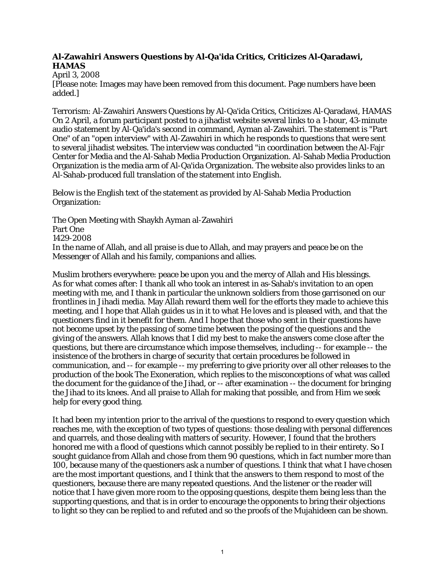## **Al-Zawahiri Answers Questions by Al-Qa'ida Critics, Criticizes Al-Qaradawi, HAMAS**

April 3, 2008

[Please note: Images may have been removed from this document. Page numbers have been added.]

Terrorism: Al-Zawahiri Answers Questions by Al-Qa'ida Critics, Criticizes Al-Qaradawi, HAMAS On 2 April, a forum participant posted to a jihadist website several links to a 1-hour, 43-minute audio statement by Al-Qa'ida's second in command, Ayman al-Zawahiri. The statement is "Part One" of an "open interview" with Al-Zawahiri in which he responds to questions that were sent to several jihadist websites. The interview was conducted "in coordination between the Al-Fajr Center for Media and the Al-Sahab Media Production Organization. Al-Sahab Media Production Organization is the media arm of Al-Qa'ida Organization. The website also provides links to an Al-Sahab-produced full translation of the statement into English.

Below is the English text of the statement as provided by Al-Sahab Media Production Organization:

The Open Meeting with Shaykh Ayman al-Zawahiri Part One 1429-2008 In the name of Allah, and all praise is due to Allah, and may prayers and peace be on the Messenger of Allah and his family, companions and allies.

Muslim brothers everywhere: peace be upon you and the mercy of Allah and His blessings. As for what comes after: I thank all who took an interest in as-Sahab's invitation to an open meeting with me, and I thank in particular the unknown soldiers from those garrisoned on our frontlines in Jihadi media. May Allah reward them well for the efforts they made to achieve this meeting, and I hope that Allah guides us in it to what He loves and is pleased with, and that the questioners find in it benefit for them. And I hope that those who sent in their questions have not become upset by the passing of some time between the posing of the questions and the giving of the answers. Allah knows that I did my best to make the answers come close after the questions, but there are circumstance which impose themselves, including -- for example -- the insistence of the brothers in charge of security that certain procedures be followed in communication, and -- for example -- my preferring to give priority over all other releases to the production of the book The Exoneration, which replies to the misconceptions of what was called the document for the guidance of the Jihad, or -- after examination -- the document for bringing the Jihad to its knees. And all praise to Allah for making that possible, and from Him we seek help for every good thing.

It had been my intention prior to the arrival of the questions to respond to every question which reaches me, with the exception of two types of questions: those dealing with personal differences and quarrels, and those dealing with matters of security. However, I found that the brothers honored me with a flood of questions which cannot possibly be replied to in their entirety. So I sought guidance from Allah and chose from them 90 questions, which in fact number more than 100, because many of the questioners ask a number of questions. I think that what I have chosen are the most important questions, and I think that the answers to them respond to most of the questioners, because there are many repeated questions. And the listener or the reader will notice that I have given more room to the opposing questions, despite them being less than the supporting questions, and that is in order to encourage the opponents to bring their objections to light so they can be replied to and refuted and so the proofs of the Mujahideen can be shown.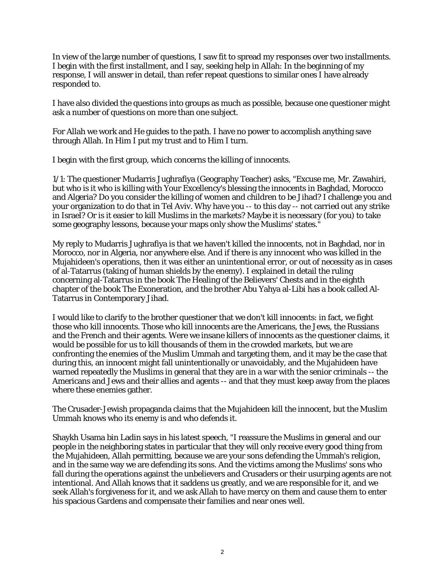In view of the large number of questions, I saw fit to spread my responses over two installments. I begin with the first installment, and I say, seeking help in Allah: In the beginning of my response, I will answer in detail, than refer repeat questions to similar ones I have already responded to.

I have also divided the questions into groups as much as possible, because one questioner might ask a number of questions on more than one subject.

For Allah we work and He guides to the path. I have no power to accomplish anything save through Allah. In Him I put my trust and to Him I turn.

I begin with the first group, which concerns the killing of innocents.

1/1: The questioner Mudarris Jughrafiya (Geography Teacher) asks, "Excuse me, Mr. Zawahiri, but who is it who is killing with Your Excellency's blessing the innocents in Baghdad, Morocco and Algeria? Do you consider the killing of women and children to be Jihad? I challenge you and your organization to do that in Tel Aviv. Why have you -- to this day -- not carried out any strike in Israel? Or is it easier to kill Muslims in the markets? Maybe it is necessary (for you) to take some geography lessons, because your maps only show the Muslims' states."

My reply to Mudarris Jughrafiya is that we haven't killed the innocents, not in Baghdad, nor in Morocco, nor in Algeria, nor anywhere else. And if there is any innocent who was killed in the Mujahideen's operations, then it was either an unintentional error, or out of necessity as in cases of al-Tatarrus (taking of human shields by the enemy). I explained in detail the ruling concerning al-Tatarrus in the book The Healing of the Believers' Chests and in the eighth chapter of the book The Exoneration, and the brother Abu Yahya al-Libi has a book called Al-Tatarrus in Contemporary Jihad.

I would like to clarify to the brother questioner that we don't kill innocents: in fact, we fight those who kill innocents. Those who kill innocents are the Americans, the Jews, the Russians and the French and their agents. Were we insane killers of innocents as the questioner claims, it would be possible for us to kill thousands of them in the crowded markets, but we are confronting the enemies of the Muslim Ummah and targeting them, and it may be the case that during this, an innocent might fall unintentionally or unavoidably, and the Mujahideen have warned repeatedly the Muslims in general that they are in a war with the senior criminals -- the Americans and Jews and their allies and agents -- and that they must keep away from the places where these enemies gather.

The Crusader-Jewish propaganda claims that the Mujahideen kill the innocent, but the Muslim Ummah knows who its enemy is and who defends it.

Shaykh Usama bin Ladin says in his latest speech, "I reassure the Muslims in general and our people in the neighboring states in particular that they will only receive every good thing from the Mujahideen, Allah permitting, because we are your sons defending the Ummah's religion, and in the same way we are defending its sons. And the victims among the Muslims' sons who fall during the operations against the unbelievers and Crusaders or their usurping agents are not intentional. And Allah knows that it saddens us greatly, and we are responsible for it, and we seek Allah's forgiveness for it, and we ask Allah to have mercy on them and cause them to enter his spacious Gardens and compensate their families and near ones well.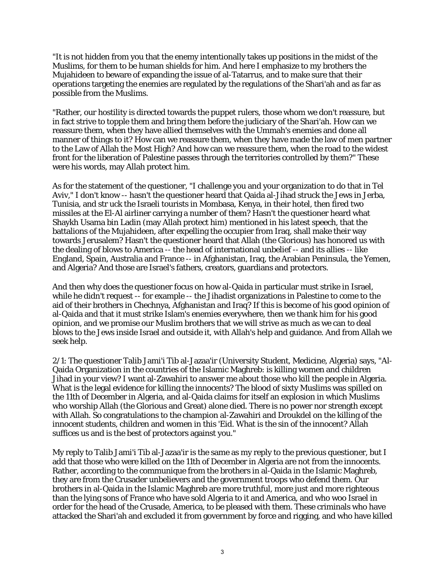"It is not hidden from you that the enemy intentionally takes up positions in the midst of the Muslims, for them to be human shields for him. And here I emphasize to my brothers the Mujahideen to beware of expanding the issue of al-Tatarrus, and to make sure that their operations targeting the enemies are regulated by the regulations of the Shari'ah and as far as possible from the Muslims.

"Rather, our hostility is directed towards the puppet rulers, those whom we don't reassure, but in fact strive to topple them and bring them before the judiciary of the Shari'ah. How can we reassure them, when they have allied themselves with the Ummah's enemies and done all manner of things to it? How can we reassure them, when they have made the law of men partner to the Law of Allah the Most High? And how can we reassure them, when the road to the widest front for the liberation of Palestine passes through the territories controlled by them?" These were his words, may Allah protect him.

As for the statement of the questioner, "I challenge you and your organization to do that in Tel Aviv," I don't know -- hasn't the questioner heard that Qaida al-Jihad struck the Jews in Jerba, Tunisia, and str uck the Israeli tourists in Mombasa, Kenya, in their hotel, then fired two missiles at the El-Al airliner carrying a number of them? Hasn't the questioner heard what Shaykh Usama bin Ladin (may Allah protect him) mentioned in his latest speech, that the battalions of the Mujahideen, after expelling the occupier from Iraq, shall make their way towards Jerusalem? Hasn't the questioner heard that Allah (the Glorious) has honored us with the dealing of blows to America -- the head of international unbelief -- and its allies -- like England, Spain, Australia and France -- in Afghanistan, Iraq, the Arabian Peninsula, the Yemen, and Algeria? And those are Israel's fathers, creators, guardians and protectors.

And then why does the questioner focus on how al-Qaida in particular must strike in Israel, while he didn't request -- for example -- the Jihadist organizations in Palestine to come to the aid of their brothers in Chechnya, Afghanistan and Iraq? If this is become of his good opinion of al-Qaida and that it must strike Islam's enemies everywhere, then we thank him for his good opinion, and we promise our Muslim brothers that we will strive as much as we can to deal blows to the Jews inside Israel and outside it, with Allah's help and guidance. And from Allah we seek help.

2/1: The questioner Talib Jami'i Tib al-Jazaa'ir (University Student, Medicine, Algeria) says, "Al-Qaida Organization in the countries of the Islamic Maghreb: is killing women and children Jihad in your view? I want al-Zawahiri to answer me about those who kill the people in Algeria. What is the legal evidence for killing the innocents? The blood of sixty Muslims was spilled on the 11th of December in Algeria, and al-Qaida claims for itself an explosion in which Muslims who worship Allah (the Glorious and Great) alone died. There is no power nor strength except with Allah. So congratulations to the champion al-Zawahiri and Droukdel on the killing of the innocent students, children and women in this 'Eid. What is the sin of the innocent? Allah suffices us and is the best of protectors against you."

My reply to Talib Jami'i Tib al-Jazaa'ir is the same as my reply to the previous questioner, but I add that those who were killed on the 11th of December in Algeria are not from the innocents. Rather, according to the communique from the brothers in al-Qaida in the Islamic Maghreb, they are from the Crusader unbelievers and the government troops who defend them. Our brothers in al-Qaida in the Islamic Maghreb are more truthful, more just and more righteous than the lying sons of France who have sold Algeria to it and America, and who woo Israel in order for the head of the Crusade, America, to be pleased with them. These criminals who have attacked the Shari'ah and excluded it from government by force and rigging, and who have killed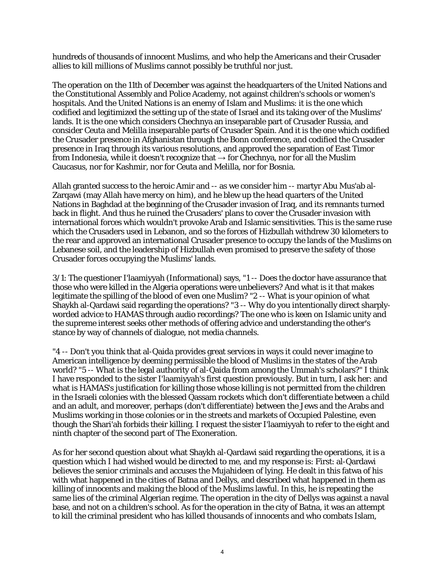hundreds of thousands of innocent Muslims, and who help the Americans and their Crusader allies to kill millions of Muslims cannot possibly be truthful nor just.

The operation on the 11th of December was against the headquarters of the United Nations and the Constitutional Assembly and Police Academy, not against children's schools or women's hospitals. And the United Nations is an enemy of Islam and Muslims: it is the one which codified and legitimized the setting up of the state of Israel and its taking over of the Muslims' lands. It is the one which considers Chechnya an inseparable part of Crusader Russia, and consider Ceuta and Melilla inseparable parts of Crusader Spain. And it is the one which codified the Crusader presence in Afghanistan through the Bonn conference, and codified the Crusader presence in Iraq through its various resolutions, and approved the separation of East Timor from Indonesia, while it doesn't recognize that  $\rightarrow$  for Chechnya, nor for all the Muslim Caucasus, nor for Kashmir, nor for Ceuta and Melilla, nor for Bosnia.

Allah granted success to the heroic Amir and -- as we consider him -- martyr Abu Mus'ab al-Zarqawi (may Allah have mercy on him), and he blew up the head quarters of the United Nations in Baghdad at the beginning of the Crusader invasion of Iraq, and its remnants turned back in flight. And thus he ruined the Crusaders' plans to cover the Crusader invasion with international forces which wouldn't provoke Arab and Islamic sensitivities. This is the same ruse which the Crusaders used in Lebanon, and so the forces of Hizbullah withdrew 30 kilometers to the rear and approved an international Crusader presence to occupy the lands of the Muslims on Lebanese soil, and the leadership of Hizbullah even promised to preserve the safety of those Crusader forces occupying the Muslims' lands.

3/1: The questioner I'laamiyyah (Informational) says, "1 -- Does the doctor have assurance that those who were killed in the Algeria operations were unbelievers? And what is it that makes legitimate the spilling of the blood of even one Muslim? "2 -- What is your opinion of what Shaykh al-Qardawi said regarding the operations? "3 -- Why do you intentionally direct sharplyworded advice to HAMAS through audio recordings? The one who is keen on Islamic unity and the supreme interest seeks other methods of offering advice and understanding the other's stance by way of channels of dialogue, not media channels.

"4 -- Don't you think that al-Qaida provides great services in ways it could never imagine to American intelligence by deeming permissible the blood of Muslims in the states of the Arab world? "5 -- What is the legal authority of al-Qaida from among the Ummah's scholars?" I think I have responded to the sister I'laamiyyah's first question previously. But in turn, I ask her: and what is HAMAS's justification for killing those whose killing is not permitted from the children in the Israeli colonies with the blessed Qassam rockets which don't differentiate between a child and an adult, and moreover, perhaps (don't differentiate) between the Jews and the Arabs and Muslims working in those colonies or in the streets and markets of Occupied Palestine, even though the Shari'ah forbids their killing. I request the sister I'laamiyyah to refer to the eight and ninth chapter of the second part of The Exoneration.

As for her second question about what Shaykh al-Qardawi said regarding the operations, it is a question which I had wished would be directed to me, and my response is: First: al-Qardawi believes the senior criminals and accuses the Mujahideen of lying. He dealt in this fatwa of his with what happened in the cities of Batna and Dellys, and described what happened in them as killing of innocents and making the blood of the Muslims lawful. In this, he is repeating the same lies of the criminal Algerian regime. The operation in the city of Dellys was against a naval base, and not on a children's school. As for the operation in the city of Batna, it was an attempt to kill the criminal president who has killed thousands of innocents and who combats Islam,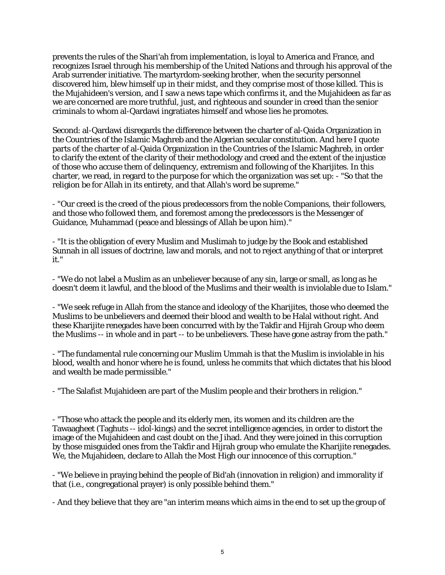prevents the rules of the Shari'ah from implementation, is loyal to America and France, and recognizes Israel through his membership of the United Nations and through his approval of the Arab surrender initiative. The martyrdom-seeking brother, when the security personnel discovered him, blew himself up in their midst, and they comprise most of those killed. This is the Mujahideen's version, and I saw a news tape which confirms it, and the Mujahideen as far as we are concerned are more truthful, just, and righteous and sounder in creed than the senior criminals to whom al-Qardawi ingratiates himself and whose lies he promotes.

Second: al-Qardawi disregards the difference between the charter of al-Qaida Organization in the Countries of the Islamic Maghreb and the Algerian secular constitution. And here I quote parts of the charter of al-Qaida Organization in the Countries of the Islamic Maghreb, in order to clarify the extent of the clarity of their methodology and creed and the extent of the injustice of those who accuse them of delinquency, extremism and following of the Kharijites. In this charter, we read, in regard to the purpose for which the organization was set up: - "So that the religion be for Allah in its entirety, and that Allah's word be supreme."

- "Our creed is the creed of the pious predecessors from the noble Companions, their followers, and those who followed them, and foremost among the predecessors is the Messenger of Guidance, Muhammad (peace and blessings of Allah be upon him)."

- "It is the obligation of every Muslim and Muslimah to judge by the Book and established Sunnah in all issues of doctrine, law and morals, and not to reject anything of that or interpret it."

- "We do not label a Muslim as an unbeliever because of any sin, large or small, as long as he doesn't deem it lawful, and the blood of the Muslims and their wealth is inviolable due to Islam."

- "We seek refuge in Allah from the stance and ideology of the Kharijites, those who deemed the Muslims to be unbelievers and deemed their blood and wealth to be Halal without right. And these Kharijite renegades have been concurred with by the Takfir and Hijrah Group who deem the Muslims -- in whole and in part -- to be unbelievers. These have gone astray from the path."

- "The fundamental rule concerning our Muslim Ummah is that the Muslim is inviolable in his blood, wealth and honor where he is found, unless he commits that which dictates that his blood and wealth be made permissible."

- "The Salafist Mujahideen are part of the Muslim people and their brothers in religion."

- "Those who attack the people and its elderly men, its women and its children are the Tawaagheet (Taghuts -- idol-kings) and the secret intelligence agencies, in order to distort the image of the Mujahideen and cast doubt on the Jihad. And they were joined in this corruption by those misguided ones from the Takfir and Hijrah group who emulate the Kharijite renegades. We, the Mujahideen, declare to Allah the Most High our innocence of this corruption."

- "We believe in praying behind the people of Bid'ah (innovation in religion) and immorality if that (i.e., congregational prayer) is only possible behind them."

- And they believe that they are "an interim means which aims in the end to set up the group of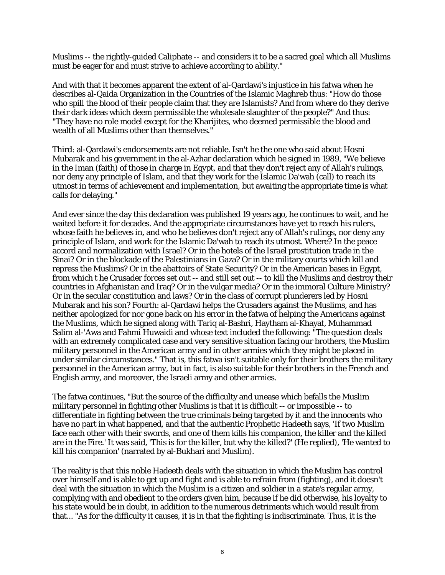Muslims -- the rightly-guided Caliphate -- and considers it to be a sacred goal which all Muslims must be eager for and must strive to achieve according to ability."

And with that it becomes apparent the extent of al-Qardawi's injustice in his fatwa when he describes al-Qaida Organization in the Countries of the Islamic Maghreb thus: "How do those who spill the blood of their people claim that they are Islamists? And from where do they derive their dark ideas which deem permissible the wholesale slaughter of the people?" And thus: "They have no role model except for the Kharijites, who deemed permissible the blood and wealth of all Muslims other than themselves."

Third: al-Qardawi's endorsements are not reliable. Isn't he the one who said about Hosni Mubarak and his government in the al-Azhar declaration which he signed in 1989, "We believe in the Iman (faith) of those in charge in Egypt, and that they don't reject any of Allah's rulings, nor deny any principle of Islam, and that they work for the Islamic Da'wah (call) to reach its utmost in terms of achievement and implementation, but awaiting the appropriate time is what calls for delaying."

And ever since the day this declaration was published 19 years ago, he continues to wait, and he waited before it for decades. And the appropriate circumstances have yet to reach his rulers, whose faith he believes in, and who he believes don't reject any of Allah's rulings, nor deny any principle of Islam, and work for the Islamic Da'wah to reach its utmost. Where? In the peace accord and normalization with Israel? Or in the hotels of the Israel prostitution trade in the Sinai? Or in the blockade of the Palestinians in Gaza? Or in the military courts which kill and repress the Muslims? Or in the abattoirs of State Security? Or in the American bases in Egypt, from which t he Crusader forces set out -- and still set out -- to kill the Muslims and destroy their countries in Afghanistan and Iraq? Or in the vulgar media? Or in the immoral Culture Ministry? Or in the secular constitution and laws? Or in the class of corrupt plunderers led by Hosni Mubarak and his son? Fourth: al-Qardawi helps the Crusaders against the Muslims, and has neither apologized for nor gone back on his error in the fatwa of helping the Americans against the Muslims, which he signed along with Tariq al-Bashri, Haytham al-Khayat, Muhammad Salim al-'Awa and Fahmi Huwaidi and whose text included the following: "The question deals with an extremely complicated case and very sensitive situation facing our brothers, the Muslim military personnel in the American army and in other armies which they might be placed in under similar circumstances." That is, this fatwa isn't suitable only for their brothers the military personnel in the American army, but in fact, is also suitable for their brothers in the French and English army, and moreover, the Israeli army and other armies.

The fatwa continues, "But the source of the difficulty and unease which befalls the Muslim military personnel in fighting other Muslims is that it is difficult -- or impossible -- to differentiate in fighting between the true criminals being targeted by it and the innocents who have no part in what happened, and that the authentic Prophetic Hadeeth says, 'If two Muslim face each other with their swords, and one of them kills his companion, the killer and the killed are in the Fire.' It was said, 'This is for the killer, but why the killed?' (He replied), 'He wanted to kill his companion' (narrated by al-Bukhari and Muslim).

The reality is that this noble Hadeeth deals with the situation in which the Muslim has control over himself and is able to get up and fight and is able to refrain from (fighting), and it doesn't deal with the situation in which the Muslim is a citizen and soldier in a state's regular army, complying with and obedient to the orders given him, because if he did otherwise, his loyalty to his state would be in doubt, in addition to the numerous detriments which would result from that... "As for the difficulty it causes, it is in that the fighting is indiscriminate. Thus, it is the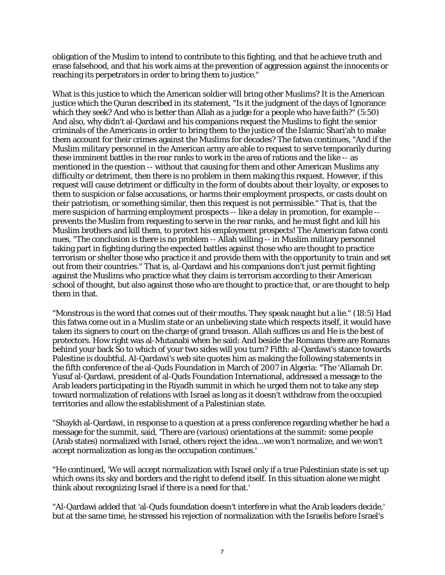obligation of the Muslim to intend to contribute to this fighting, and that he achieve truth and erase falsehood, and that his work aims at the prevention of aggression against the innocents or reaching its perpetrators in order to bring them to justice."

What is this justice to which the American soldier will bring other Muslims? It is the American justice which the Quran described in its statement, "Is it the judgment of the days of Ignorance which they seek? And who is better than Allah as a judge for a people who have faith?" (5:50) And also, why didn't al-Qardawi and his companions request the Muslims to fight the senior criminals of the Americans in order to bring them to the justice of the Islamic Shari'ah to make them account for their crimes against the Muslims for decades? The fatwa continues, "And if the Muslim military personnel in the American army are able to request to serve temporarily during these imminent battles in the rear ranks to work in the area of rations and the like -- as mentioned in the question -- without that causing for them and other American Muslims any difficulty or detriment, then there is no problem in them making this request. However, if this request will cause detriment or difficulty in the form of doubts about their loyalty, or exposes to them to suspicion or false accusations, or harms their employment prospects, or casts doubt on their patriotism, or something similar, then this request is not permissible." That is, that the mere suspicion of harming employment prospects -- like a delay in promotion, for example - prevents the Muslim from requesting to serve in the rear ranks, and he must fight and kill his Muslim brothers and kill them, to protect his employment prospects! The American fatwa conti nues, "The conclusion is there is no problem -- Allah willing -- in Muslim military personnel taking part in fighting during the expected battles against those who are thought to practice terrorism or shelter those who practice it and provide them with the opportunity to train and set out from their countries." That is, al-Qardawi and his companions don't just permit fighting against the Muslims who practice what they claim is terrorism according to their American school of thought, but also against those who are thought to practice that, or are thought to help them in that.

"Monstrous is the word that comes out of their mouths. They speak naught but a lie." (18:5) Had this fatwa come out in a Muslim state or an unbelieving state which respects itself, it would have taken its signers to court on the charge of grand treason. Allah suffices us and He is the best of protectors. How right was al-Mutanabi when he said: And beside the Romans there are Romans behind your back So to which of your two sides will you turn? Fifth: al-Qardawi's stance towards Palestine is doubtful. Al-Qardawi's web site quotes him as making the following statements in the fifth conference of the al-Quds Foundation in March of 2007 in Algeria: "The 'Allamah Dr. Yusuf al-Qardawi, president of al-Quds Foundation International, addressed a message to the Arab leaders participating in the Riyadh summit in which he urged them not to take any step toward normalization of relations with Israel as long as it doesn't withdraw from the occupied territories and allow the establishment of a Palestinian state.

"Shaykh al-Qardawi, in response to a question at a press conference regarding whether he had a message for the summit, said, 'There are (various) orientations at the summit: some people (Arab states) normalized with Israel, others reject the idea...we won't normalize, and we won't accept normalization as long as the occupation continues.'

"He continued, 'We will accept normalization with Israel only if a true Palestinian state is set up which owns its sky and borders and the right to defend itself. In this situation alone we might think about recognizing Israel if there is a need for that.'

"Al-Qardawi added that 'al-Quds foundation doesn't interfere in what the Arab leaders decide,' but at the same time, he stressed his rejection of normalization with the Israelis before Israel's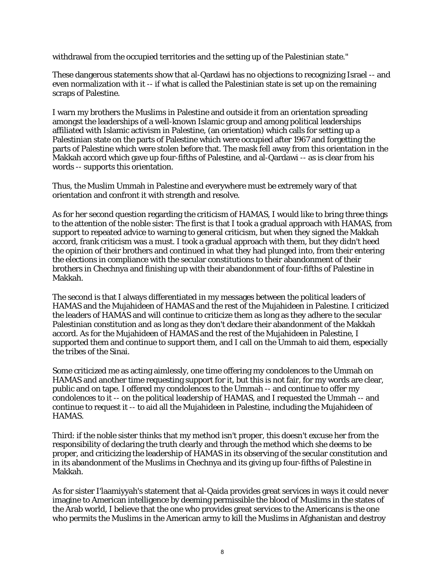withdrawal from the occupied territories and the setting up of the Palestinian state."

These dangerous statements show that al-Qardawi has no objections to recognizing Israel -- and even normalization with it -- if what is called the Palestinian state is set up on the remaining scraps of Palestine.

I warn my brothers the Muslims in Palestine and outside it from an orientation spreading amongst the leaderships of a well-known Islamic group and among political leaderships affiliated with Islamic activism in Palestine, (an orientation) which calls for setting up a Palestinian state on the parts of Palestine which were occupied after 1967 and forgetting the parts of Palestine which were stolen before that. The mask fell away from this orientation in the Makkah accord which gave up four-fifths of Palestine, and al-Qardawi -- as is clear from his words -- supports this orientation.

Thus, the Muslim Ummah in Palestine and everywhere must be extremely wary of that orientation and confront it with strength and resolve.

As for her second question regarding the criticism of HAMAS, I would like to bring three things to the attention of the noble sister: The first is that I took a gradual approach with HAMAS, from support to repeated advice to warning to general criticism, but when they signed the Makkah accord, frank criticism was a must. I took a gradual approach with them, but they didn't heed the opinion of their brothers and continued in what they had plunged into, from their entering the elections in compliance with the secular constitutions to their abandonment of their brothers in Chechnya and finishing up with their abandonment of four-fifths of Palestine in Makkah.

The second is that I always differentiated in my messages between the political leaders of HAMAS and the Mujahideen of HAMAS and the rest of the Mujahideen in Palestine. I criticized the leaders of HAMAS and will continue to criticize them as long as they adhere to the secular Palestinian constitution and as long as they don't declare their abandonment of the Makkah accord. As for the Mujahideen of HAMAS and the rest of the Mujahideen in Palestine, I supported them and continue to support them, and I call on the Ummah to aid them, especially the tribes of the Sinai.

Some criticized me as acting aimlessly, one time offering my condolences to the Ummah on HAMAS and another time requesting support for it, but this is not fair, for my words are clear, public and on tape. I offered my condolences to the Ummah -- and continue to offer my condolences to it -- on the political leadership of HAMAS, and I requested the Ummah -- and continue to request it -- to aid all the Mujahideen in Palestine, including the Mujahideen of HAMAS.

Third: if the noble sister thinks that my method isn't proper, this doesn't excuse her from the responsibility of declaring the truth clearly and through the method which she deems to be proper, and criticizing the leadership of HAMAS in its observing of the secular constitution and in its abandonment of the Muslims in Chechnya and its giving up four-fifths of Palestine in Makkah.

As for sister I'laamiyyah's statement that al-Qaida provides great services in ways it could never imagine to American intelligence by deeming permissible the blood of Muslims in the states of the Arab world, I believe that the one who provides great services to the Americans is the one who permits the Muslims in the American army to kill the Muslims in Afghanistan and destroy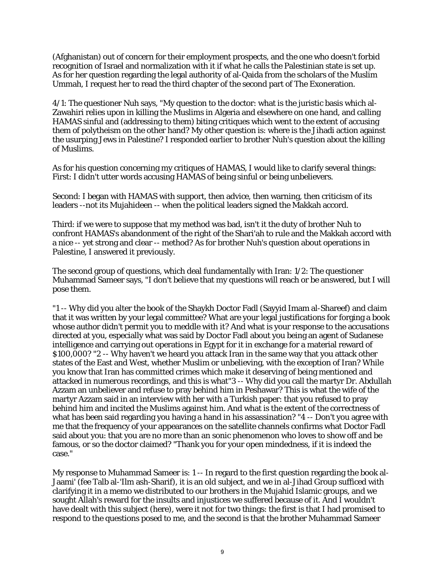(Afghanistan) out of concern for their employment prospects, and the one who doesn't forbid recognition of Israel and normalization with it if what he calls the Palestinian state is set up. As for her question regarding the legal authority of al-Qaida from the scholars of the Muslim Ummah, I request her to read the third chapter of the second part of The Exoneration.

4/1: The questioner Nuh says, "My question to the doctor: what is the juristic basis which al-Zawahiri relies upon in killing the Muslims in Algeria and elsewhere on one hand, and calling HAMAS sinful and (addressing to them) biting critiques which went to the extent of accusing them of polytheism on the other hand? My other question is: where is the Jihadi action against the usurping Jews in Palestine? I responded earlier to brother Nuh's question about the killing of Muslims.

As for his question concerning my critiques of HAMAS, I would like to clarify several things: First: I didn't utter words accusing HAMAS of being sinful or being unbelievers.

Second: I began with HAMAS with support, then advice, then warning, then criticism of its leaders --not its Mujahideen -- when the political leaders signed the Makkah accord.

Third: if we were to suppose that my method was bad, isn't it the duty of brother Nuh to confront HAMAS's abandonment of the right of the Shari'ah to rule and the Makkah accord with a nice -- yet strong and clear -- method? As for brother Nuh's question about operations in Palestine, I answered it previously.

The second group of questions, which deal fundamentally with Iran: 1/2: The questioner Muhammad Sameer says, "I don't believe that my questions will reach or be answered, but I will pose them.

"1 -- Why did you alter the book of the Shaykh Doctor Fadl (Sayyid Imam al-Shareef) and claim that it was written by your legal committee? What are your legal justifications for forging a book whose author didn't permit you to meddle with it? And what is your response to the accusations directed at you, especially what was said by Doctor Fadl about you being an agent of Sudanese intelligence and carrying out operations in Egypt for it in exchange for a material reward of \$100,000? "2 -- Why haven't we heard you attack Iran in the same way that you attack other states of the East and West, whether Muslim or unbelieving, with the exception of Iran? While you know that Iran has committed crimes which make it deserving of being mentioned and attacked in numerous recordings, and this is what"3 -- Why did you call the martyr Dr. Abdullah Azzam an unbeliever and refuse to pray behind him in Peshawar? This is what the wife of the martyr Azzam said in an interview with her with a Turkish paper: that you refused to pray behind him and incited the Muslims against him. And what is the extent of the correctness of what has been said regarding you having a hand in his assassination? "4 -- Don't you agree with me that the frequency of your appearances on the satellite channels confirms what Doctor Fadl said about you: that you are no more than an sonic phenomenon who loves to show off and be famous, or so the doctor claimed? "Thank you for your open mindedness, if it is indeed the case."

My response to Muhammad Sameer is: 1 -- In regard to the first question regarding the book al-Jaami' (fee Talb al-'Ilm ash-Sharif), it is an old subject, and we in al-Jihad Group sufficed with clarifying it in a memo we distributed to our brothers in the Mujahid Islamic groups, and we sought Allah's reward for the insults and injustices we suffered because of it. And I wouldn't have dealt with this subject (here), were it not for two things: the first is that I had promised to respond to the questions posed to me, and the second is that the brother Muhammad Sameer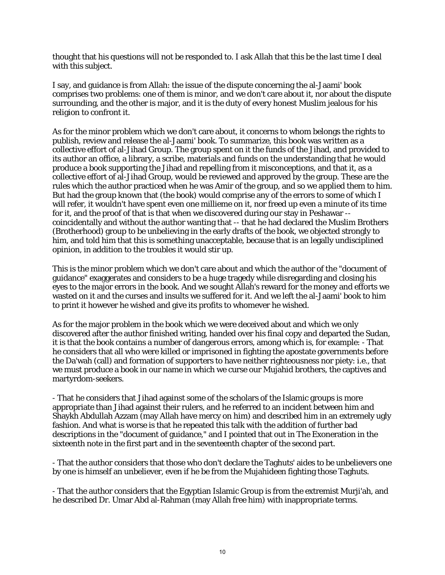thought that his questions will not be responded to. I ask Allah that this be the last time I deal with this subject.

I say, and guidance is from Allah: the issue of the dispute concerning the al-Jaami' book comprises two problems: one of them is minor, and we don't care about it, nor about the dispute surrounding, and the other is major, and it is the duty of every honest Muslim jealous for his religion to confront it.

As for the minor problem which we don't care about, it concerns to whom belongs the rights to publish, review and release the al-Jaami' book. To summarize, this book was written as a collective effort of al-Jihad Group. The group spent on it the funds of the Jihad, and provided to its author an office, a library, a scribe, materials and funds on the understanding that he would produce a book supporting the Jihad and repelling from it misconceptions, and that it, as a collective effort of al-Jihad Group, would be reviewed and approved by the group. These are the rules which the author practiced when he was Amir of the group, and so we applied them to him. But had the group known that (the book) would comprise any of the errors to some of which I will refer, it wouldn't have spent even one millieme on it, nor freed up even a minute of its time for it, and the proof of that is that when we discovered during our stay in Peshawar - coincidentally and without the author wanting that -- that he had declared the Muslim Brothers (Brotherhood) group to be unbelieving in the early drafts of the book, we objected strongly to him, and told him that this is something unacceptable, because that is an legally undisciplined opinion, in addition to the troubles it would stir up.

This is the minor problem which we don't care about and which the author of the "document of guidance" exaggerates and considers to be a huge tragedy while disregarding and closing his eyes to the major errors in the book. And we sought Allah's reward for the money and efforts we wasted on it and the curses and insults we suffered for it. And we left the al-Jaami' book to him to print it however he wished and give its profits to whomever he wished.

As for the major problem in the book which we were deceived about and which we only discovered after the author finished writing, handed over his final copy and departed the Sudan, it is that the book contains a number of dangerous errors, among which is, for example: - That he considers that all who were killed or imprisoned in fighting the apostate governments before the Da'wah (call) and formation of supporters to have neither righteousness nor piety: i.e., that we must produce a book in our name in which we curse our Mujahid brothers, the captives and martyrdom-seekers.

- That he considers that Jihad against some of the scholars of the Islamic groups is more appropriate than Jihad against their rulers, and he referred to an incident between him and Shaykh Abdullah Azzam (may Allah have mercy on him) and described him in an extremely ugly fashion. And what is worse is that he repeated this talk with the addition of further bad descriptions in the "document of guidance," and I pointed that out in The Exoneration in the sixteenth note in the first part and in the seventeenth chapter of the second part.

- That the author considers that those who don't declare the Taghuts' aides to be unbelievers one by one is himself an unbeliever, even if he be from the Mujahideen fighting those Taghuts.

- That the author considers that the Egyptian Islamic Group is from the extremist Murji'ah, and he described Dr. Umar Abd al-Rahman (may Allah free him) with inappropriate terms.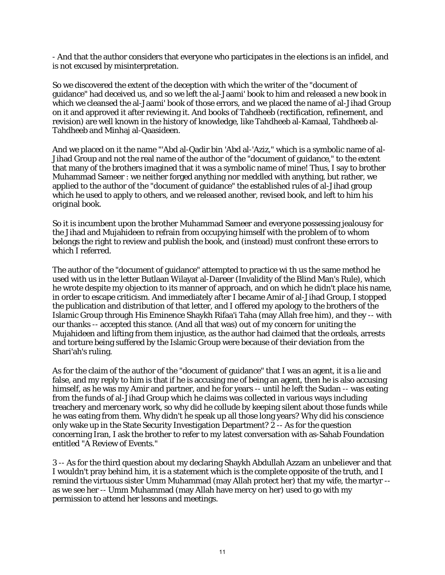- And that the author considers that everyone who participates in the elections is an infidel, and is not excused by misinterpretation.

So we discovered the extent of the deception with which the writer of the "document of guidance" had deceived us, and so we left the al-Jaami' book to him and released a new book in which we cleansed the al-Jaami' book of those errors, and we placed the name of al-Jihad Group on it and approved it after reviewing it. And books of Tahdheeb (rectification, refinement, and revision) are well known in the history of knowledge, like Tahdheeb al-Kamaal, Tahdheeb al-Tahdheeb and Minhaj al-Qaasideen.

And we placed on it the name "'Abd al-Qadir bin 'Abd al-'Aziz," which is a symbolic name of al-Jihad Group and not the real name of the author of the "document of guidance," to the extent that many of the brothers imagined that it was a symbolic name of mine! Thus, I say to brother Muhammad Sameer : we neither forged anything nor meddled with anything, but rather, we applied to the author of the "document of guidance" the established rules of al-Jihad group which he used to apply to others, and we released another, revised book, and left to him his original book.

So it is incumbent upon the brother Muhammad Sameer and everyone possessing jealousy for the Jihad and Mujahideen to refrain from occupying himself with the problem of to whom belongs the right to review and publish the book, and (instead) must confront these errors to which I referred.

The author of the "document of guidance" attempted to practice wi th us the same method he used with us in the letter Butlaan Wilayat al-Dareer (Invalidity of the Blind Man's Rule), which he wrote despite my objection to its manner of approach, and on which he didn't place his name, in order to escape criticism. And immediately after I became Amir of al-Jihad Group, I stopped the publication and distribution of that letter, and I offered my apology to the brothers of the Islamic Group through His Eminence Shaykh Rifaa'i Taha (may Allah free him), and they -- with our thanks -- accepted this stance. (And all that was) out of my concern for uniting the Mujahideen and lifting from them injustice, as the author had claimed that the ordeals, arrests and torture being suffered by the Islamic Group were because of their deviation from the Shari'ah's ruling.

As for the claim of the author of the "document of guidance" that I was an agent, it is a lie and false, and my reply to him is that if he is accusing me of being an agent, then he is also accusing himself, as he was my Amir and partner, and he for years -- until he left the Sudan -- was eating from the funds of al-Jihad Group which he claims was collected in various ways including treachery and mercenary work, so why did he collude by keeping silent about those funds while he was eating from them. Why didn't he speak up all those long years? Why did his conscience only wake up in the State Security Investigation Department?  $\hat{z}$  -- As for the question concerning Iran, I ask the brother to refer to my latest conversation with as-Sahab Foundation entitled "A Review of Events."

3 -- As for the third question about my declaring Shaykh Abdullah Azzam an unbeliever and that I wouldn't pray behind him, it is a statement which is the complete opposite of the truth, and I remind the virtuous sister Umm Muhammad (may Allah protect her) that my wife, the martyr - as we see her -- Umm Muhammad (may Allah have mercy on her) used to go with my permission to attend her lessons and meetings.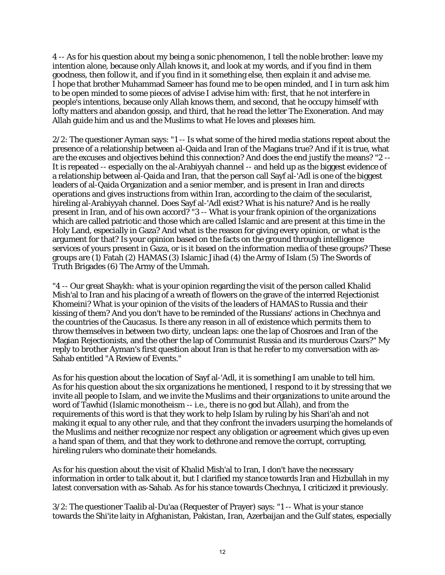4 -- As for his question about my being a sonic phenomenon, I tell the noble brother: leave my intention alone, because only Allah knows it, and look at my words, and if you find in them goodness, then follow it, and if you find in it something else, then explain it and advise me. I hope that brother Muhammad Sameer has found me to be open minded, and I in turn ask him to be open minded to some pieces of advise I advise him with: first, that he not interfere in people's intentions, because only Allah knows them, and second, that he occupy himself with lofty matters and abandon gossip, and third, that he read the letter The Exoneration. And may Allah guide him and us and the Muslims to what He loves and pleases him.

2/2: The questioner Ayman says: "1 -- Is what some of the hired media stations repeat about the presence of a relationship between al-Qaida and Iran of the Magians true? And if it is true, what are the excuses and objectives behind this connection? And does the end justify the means? "2 -- It is repeated -- especially on the al-Arabiyyah channel -- and held up as the biggest evidence of a relationship between al-Qaida and Iran, that the person call Sayf al-'Adl is one of the biggest leaders of al-Qaida Organization and a senior member, and is present in Iran and directs operations and gives instructions from within Iran, according to the claim of the secularist, hireling al-Arabiyyah channel. Does Sayf al-'Adl exist? What is his nature? And is he really present in Iran, and of his own accord? "3 -- What is your frank opinion of the organizations which are called patriotic and those which are called Islamic and are present at this time in the Holy Land, especially in Gaza? And what is the reason for giving every opinion, or what is the argument for that? Is your opinion based on the facts on the ground through intelligence services of yours present in Gaza, or is it based on the information media of these groups? These groups are (1) Fatah (2) HAMAS (3) Islamic Jihad (4) the Army of Islam (5) The Swords of Truth Brigades (6) The Army of the Ummah.

"4 -- Our great Shaykh: what is your opinion regarding the visit of the person called Khalid Mish'al to Iran and his placing of a wreath of flowers on the grave of the interred Rejectionist Khomeini? What is your opinion of the visits of the leaders of HAMAS to Russia and their kissing of them? And you don't have to be reminded of the Russians' actions in Chechnya and the countries of the Caucasus. Is there any reason in all of existence which permits them to throw themselves in between two dirty, unclean laps: one the lap of Chosroes and Iran of the Magian Rejectionists, and the other the lap of Communist Russia and its murderous Czars?" My reply to brother Ayman's first question about Iran is that he refer to my conversation with as-Sahab entitled "A Review of Events."

As for his question about the location of Sayf al-'Adl, it is something I am unable to tell him. As for his question about the six organizations he mentioned, I respond to it by stressing that we invite all people to Islam, and we invite the Muslims and their organizations to unite around the word of Tawhid (Islamic monotheism -- i.e., there is no god but Allah), and from the requirements of this word is that they work to help Islam by ruling by his Shari'ah and not making it equal to any other rule, and that they confront the invaders usurping the homelands of the Muslims and neither recognize nor respect any obligation or agreement which gives up even a hand span of them, and that they work to dethrone and remove the corrupt, corrupting, hireling rulers who dominate their homelands.

As for his question about the visit of Khalid Mish'al to Iran, I don't have the necessary information in order to talk about it, but I clarified my stance towards Iran and Hizbullah in my latest conversation with as-Sahab. As for his stance towards Chechnya, I criticized it previously.

3/2: The questioner Taalib al-Du'aa (Requester of Prayer) says: "1 -- What is your stance towards the Shi'ite laity in Afghanistan, Pakistan, Iran, Azerbaijan and the Gulf states, especially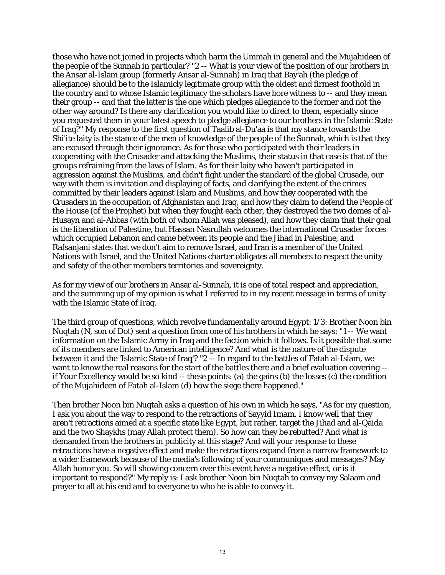those who have not joined in projects which harm the Ummah in general and the Mujahideen of the people of the Sunnah in particular? "2 -- What is your view of the position of our brothers in the Ansar al-Islam group (formerly Ansar al-Sunnah) in Iraq that Bay'ah (the pledge of allegiance) should be to the Islamicly legitimate group with the oldest and firmest foothold in the country and to whose Islamic legitimacy the scholars have bore witness to -- and they mean their group -- and that the latter is the one which pledges allegiance to the former and not the other way around? Is there any clarification you would like to direct to them, especially since you requested them in your latest speech to pledge allegiance to our brothers in the Islamic State of Iraq?" My response to the first question of Taalib al-Du'aa is that my stance towards the Shi'ite laity is the stance of the men of knowledge of the people of the Sunnah, which is that they are excused through their ignorance. As for those who participated with their leaders in cooperating with the Crusader and attacking the Muslims, their status in that case is that of the groups refraining from the laws of Islam. As for their laity who haven't participated in aggression against the Muslims, and didn't fight under the standard of the global Crusade, our way with them is invitation and displaying of facts, and clarifying the extent of the crimes committed by their leaders against Islam and Muslims, and how they cooperated with the Crusaders in the occupation of Afghanistan and Iraq, and how they claim to defend the People of the House (of the Prophet) but when they fought each other, they destroyed the two domes of al-Husayn and al-Abbas (with both of whom Allah was pleased), and how they claim that their goal is the liberation of Palestine, but Hassan Nasrullah welcomes the international Crusader forces which occupied Lebanon and came between its people and the Jihad in Palestine, and Rafsanjani states that we don't aim to remove Israel, and Iran is a member of the United Nations with Israel, and the United Nations charter obligates all members to respect the unity and safety of the other members territories and sovereignty.

As for my view of our brothers in Ansar al-Sunnah, it is one of total respect and appreciation, and the summing up of my opinion is what I referred to in my recent message in terms of unity with the Islamic State of Iraq.

The third group of questions, which revolve fundamentally around Egypt: 1/3: Brother Noon bin Nuqtah (N, son of Dot) sent a question from one of his brothers in which he says: "1 -- We want information on the Islamic Army in Iraq and the faction which it follows. Is it possible that some of its members are linked to American intelligence? And what is the nature of the dispute between it and the 'Islamic State of Iraq'? "2 -- In regard to the battles of Fatah al-Islam, we want to know the real reasons for the start of the battles there and a brief evaluation covering - if Your Excellency would be so kind -- these points: (a) the gains (b) the losses (c) the condition of the Mujahideen of Fatah al-Islam (d) how the siege there happened."

Then brother Noon bin Nuqtah asks a question of his own in which he says, "As for my question, I ask you about the way to respond to the retractions of Sayyid Imam. I know well that they aren't retractions aimed at a specific state like Egypt, but rather, target the Jihad and al-Qaida and the two Shaykhs (may Allah protect them). So how can they be rebutted? And what is demanded from the brothers in publicity at this stage? And will your response to these retractions have a negative effect and make the retractions expand from a narrow framework to a wider framework because of the media's following of your communiques and messages? May Allah honor you. So will showing concern over this event have a negative effect, or is it important to respond?" My reply is: I ask brother Noon bin Nuqtah to convey my Salaam and prayer to all at his end and to everyone to who he is able to convey it.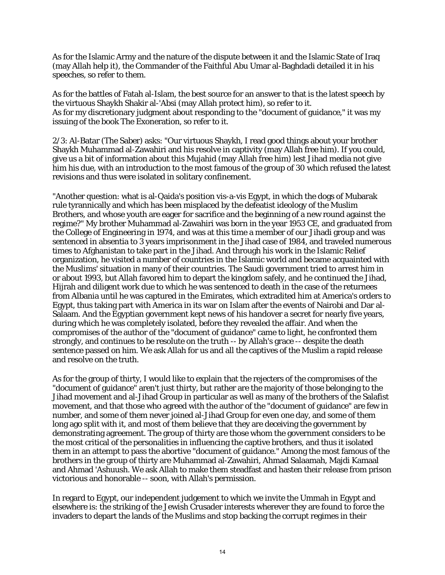As for the Islamic Army and the nature of the dispute between it and the Islamic State of Iraq (may Allah help it), the Commander of the Faithful Abu Umar al-Baghdadi detailed it in his speeches, so refer to them.

As for the battles of Fatah al-Islam, the best source for an answer to that is the latest speech by the virtuous Shaykh Shakir al-'Absi (may Allah protect him), so refer to it. As for my discretionary judgment about responding to the "document of guidance," it was my issuing of the book The Exoneration, so refer to it.

2/3: Al-Batar (The Saber) asks: "Our virtuous Shaykh, I read good things about your brother Shaykh Muhammad al-Zawahiri and his resolve in captivity (may Allah free him). If you could, give us a bit of information about this Mujahid (may Allah free him) lest Jihad media not give him his due, with an introduction to the most famous of the group of 30 which refused the latest revisions and thus were isolated in solitary confinement.

"Another question: what is al-Qaida's position vis-a-vis Egypt, in which the dogs of Mubarak rule tyrannically and which has been misplaced by the defeatist ideology of the Muslim Brothers, and whose youth are eager for sacrifice and the beginning of a new round against the regime?" My brother Muhammad al-Zawahiri was born in the year 1953 CE, and graduated from the College of Engineering in 1974, and was at this time a member of our Jihadi group and was sentenced in absentia to 3 years imprisonment in the Jihad case of 1984, and traveled numerous times to Afghanistan to take part in the Jihad. And through his work in the Islamic Relief organization, he visited a number of countries in the Islamic world and became acquainted with the Muslims' situation in many of their countries. The Saudi government tried to arrest him in or about 1993, but Allah favored him to depart the kingdom safely, and he continued the Jihad, Hijrah and diligent work due to which he was sentenced to death in the case of the returnees from Albania until he was captured in the Emirates, which extradited him at America's orders to Egypt, thus taking part with America in its war on Islam after the events of Nairobi and Dar al-Salaam. And the Egyptian government kept news of his handover a secret for nearly five years, during which he was completely isolated, before they revealed the affair. And when the compromises of the author of the "document of guidance" came to light, he confronted them strongly, and continues to be resolute on the truth -- by Allah's grace -- despite the death sentence passed on him. We ask Allah for us and all the captives of the Muslim a rapid release and resolve on the truth.

As for the group of thirty, I would like to explain that the rejecters of the compromises of the "document of guidance" aren't just thirty, but rather are the majority of those belonging to the Jihad movement and al-Jihad Group in particular as well as many of the brothers of the Salafist movement, and that those who agreed with the author of the "document of guidance" are few in number, and some of them never joined al-Jihad Group for even one day, and some of them long ago split with it, and most of them believe that they are deceiving the government by demonstrating agreement. The group of thirty are those whom the government considers to be the most critical of the personalities in influencing the captive brothers, and thus it isolated them in an attempt to pass the abortive "document of guidance." Among the most famous of the brothers in the group of thirty are Muhammad al-Zawahiri, Ahmad Salaamah, Majdi Kamaal and Ahmad 'Ashuush. We ask Allah to make them steadfast and hasten their release from prison victorious and honorable -- soon, with Allah's permission.

In regard to Egypt, our independent judgement to which we invite the Ummah in Egypt and elsewhere is: the striking of the Jewish Crusader interests wherever they are found to force the invaders to depart the lands of the Muslims and stop backing the corrupt regimes in their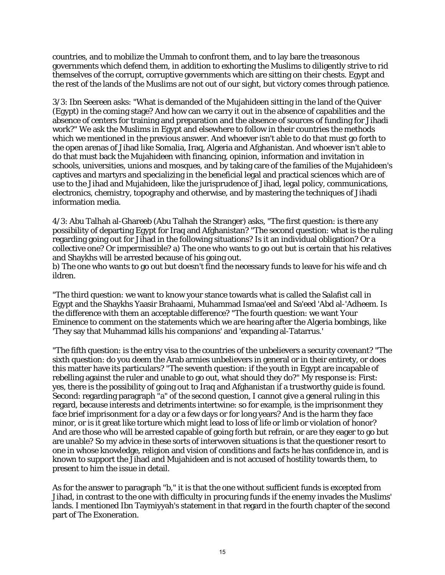countries, and to mobilize the Ummah to confront them, and to lay bare the treasonous governments which defend them, in addition to exhorting the Muslims to diligently strive to rid themselves of the corrupt, corruptive governments which are sitting on their chests. Egypt and the rest of the lands of the Muslims are not out of our sight, but victory comes through patience.

3/3: Ibn Seereen asks: "What is demanded of the Mujahideen sitting in the land of the Quiver (Egypt) in the coming stage? And how can we carry it out in the absence of capabilities and the absence of centers for training and preparation and the absence of sources of funding for Jihadi work?" We ask the Muslims in Egypt and elsewhere to follow in their countries the methods which we mentioned in the previous answer. And whoever isn't able to do that must go forth to the open arenas of Jihad like Somalia, Iraq, Algeria and Afghanistan. And whoever isn't able to do that must back the Mujahideen with financing, opinion, information and invitation in schools, universities, unions and mosques, and by taking care of the families of the Mujahideen's captives and martyrs and specializing in the beneficial legal and practical sciences which are of use to the Jihad and Mujahideen, like the jurisprudence of Jihad, legal policy, communications, electronics, chemistry, topography and otherwise, and by mastering the techniques of Jihadi information media.

4/3: Abu Talhah al-Ghareeb (Abu Talhah the Stranger) asks, "The first question: is there any possibility of departing Egypt for Iraq and Afghanistan? "The second question: what is the ruling regarding going out for Jihad in the following situations? Is it an individual obligation? Or a collective one? Or impermissible? a) The one who wants to go out but is certain that his relatives and Shaykhs will be arrested because of his going out.

b) The one who wants to go out but doesn't find the necessary funds to leave for his wife and ch ildren.

"The third question: we want to know your stance towards what is called the Salafist call in Egypt and the Shaykhs Yaasir Brahaami, Muhammad Ismaa'eel and Sa'eed 'Abd al-'Adheem. Is the difference with them an acceptable difference? "The fourth question: we want Your Eminence to comment on the statements which we are hearing after the Algeria bombings, like 'They say that Muhammad kills his companions' and 'expanding al-Tatarrus.'

"The fifth question: is the entry visa to the countries of the unbelievers a security covenant? "The sixth question: do you deem the Arab armies unbelievers in general or in their entirety, or does this matter have its particulars? "The seventh question: if the youth in Egypt are incapable of rebelling against the ruler and unable to go out, what should they do?" My response is: First: yes, there is the possibility of going out to Iraq and Afghanistan if a trustworthy guide is found. Second: regarding paragraph "a" of the second question, I cannot give a general ruling in this regard, because interests and detriments intertwine: so for example, is the imprisonment they face brief imprisonment for a day or a few days or for long years? And is the harm they face minor, or is it great like torture which might lead to loss of life or limb or violation of honor? And are those who will be arrested capable of going forth but refrain, or are they eager to go but are unable? So my advice in these sorts of interwoven situations is that the questioner resort to one in whose knowledge, religion and vision of conditions and facts he has confidence in, and is known to support the Jihad and Mujahideen and is not accused of hostility towards them, to present to him the issue in detail.

As for the answer to paragraph "b," it is that the one without sufficient funds is excepted from Jihad, in contrast to the one with difficulty in procuring funds if the enemy invades the Muslims' lands. I mentioned Ibn Taymiyyah's statement in that regard in the fourth chapter of the second part of The Exoneration.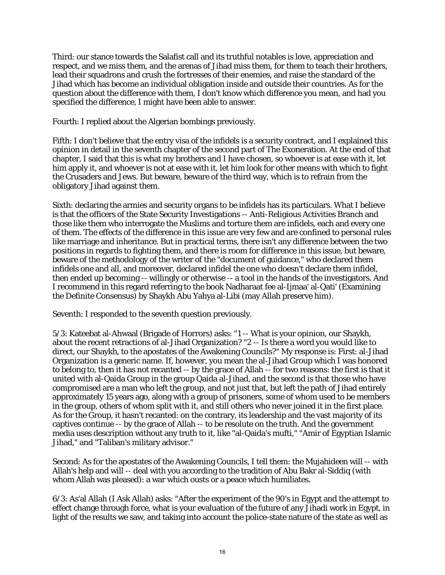Third: our stance towards the Salafist call and its truthful notables is love, appreciation and respect, and we miss them, and the arenas of Jihad miss them, for them to teach their brothers, lead their squadrons and crush the fortresses of their enemies, and raise the standard of the Jihad which has become an individual obligation inside and outside their countries. As for the question about the difference with them, I don't know which difference you mean, and had you specified the difference, I might have been able to answer.

Fourth: I replied about the Algerian bombings previously.

Fifth: I don't believe that the entry visa of the infidels is a security contract, and I explained this opinion in detail in the seventh chapter of the second part of The Exoneration. At the end of that chapter, I said that this is what my brothers and I have chosen, so whoever is at ease with it, let him apply it, and whoever is not at ease with it, let him look for other means with which to fight the Crusaders and Jews. But beware, beware of the third way, which is to refrain from the obligatory Jihad against them.

Sixth: declaring the armies and security organs to be infidels has its particulars. What I believe is that the officers of the State Security Investigations -- Anti-Religious Activities Branch and those like them who interrogate the Muslims and torture them are infidels, each and every one of them. The effects of the difference in this issue are very few and are confined to personal rules like marriage and inheritance. But in practical terms, there isn't any difference between the two positions in regards to fighting them, and there is room for difference in this issue, but beware, beware of the methodology of the writer of the "document of guidance," who declared them infidels one and all, and moreover, declared infidel the one who doesn't declare them infidel, then ended up becoming -- willingly or otherwise -- a tool in the hands of the investigators. And I recommend in this regard referring to the book Nadharaat fee al-Ijmaa' al-Qati' (Examining the Definite Consensus) by Shaykh Abu Yahya al-Libi (may Allah preserve him).

Seventh: I responded to the seventh question previously.

5/3: Kateebat al-Ahwaal (Brigade of Horrors) asks: "1 -- What is your opinion, our Shaykh, about the recent retractions of al-Jihad Organization? "2 -- Is there a word you would like to direct, our Shaykh, to the apostates of the Awakening Councils?" My response is: First: al-Jihad Organization is a generic name. If, however, you mean the al-Jihad Group which I was honored to belong to, then it has not recanted -- by the grace of Allah -- for two reasons: the first is that it united with al-Qaida Group in the group Qaida al-Jihad, and the second is that those who have compromised are a man who left the group, and not just that, but left the path of Jihad entirely approximately 15 years ago, along with a group of prisoners, some of whom used to be members in the group, others of whom split with it, and still others who never joined it in the first place. As for the Group, it hasn't recanted: on the contrary, its leadership and the vast majority of its captives continue -- by the grace of Allah -- to be resolute on the truth. And the government media uses description without any truth to it, like "al-Qaida's mufti," "Amir of Egyptian Islamic Jihad," and "Taliban's military advisor."

Second: As for the apostates of the Awakening Councils, I tell them: the Mujahideen will -- with Allah's help and will -- deal with you according to the tradition of Abu Bakr al-Siddiq (with whom Allah was pleased): a war which ousts or a peace which humiliates.

6/3: As'al Allah (I Ask Allah) asks: "After the experiment of the 90's in Egypt and the attempt to effect change through force, what is your evaluation of the future of any Jihadi work in Egypt, in light of the results we saw, and taking into account the police-state nature of the state as well as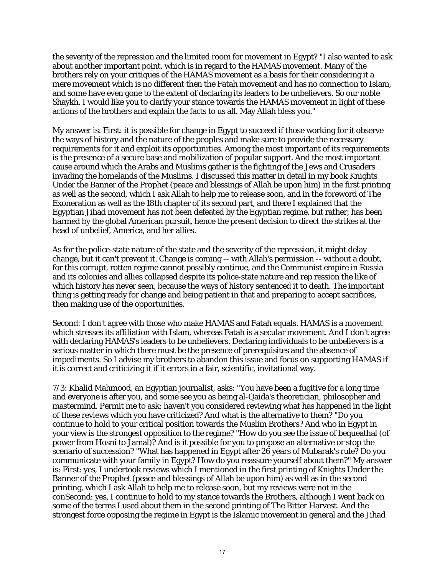the severity of the repression and the limited room for movement in Egypt? "I also wanted to ask about another important point, which is in regard to the HAMAS movement. Many of the brothers rely on your critiques of the HAMAS movement as a basis for their considering it a mere movement which is no different then the Fatah movement and has no connection to Islam, and some have even gone to the extent of declaring its leaders to be unbelievers. So our noble Shaykh, I would like you to clarify your stance towards the HAMAS movement in light of these actions of the brothers and explain the facts to us all. May Allah bless you."

My answer is: First: it is possible for change in Egypt to succeed if those working for it observe the ways of history and the nature of the peoples and make sure to provide the necessary requirements for it and exploit its opportunities. Among the most important of its requirements is the presence of a secure base and mobilization of popular support. And the most important cause around which the Arabs and Muslims gather is the fighting of the Jews and Crusaders invading the homelands of the Muslims. I discussed this matter in detail in my book Knights Under the Banner of the Prophet (peace and blessings of Allah be upon him) in the first printing as well as the second, which I ask Allah to help me to release soon, and in the foreword of The Exoneration as well as the 18th chapter of its second part, and there I explained that the Egyptian Jihad movement has not been defeated by the Egyptian regime, but rather, has been harmed by the global American pursuit, hence the present decision to direct the strikes at the head of unbelief, America, and her allies.

As for the police-state nature of the state and the severity of the repression, it might delay change, but it can't prevent it. Change is coming -- with Allah's permission -- without a doubt, for this corrupt, rotten regime cannot possibly continue, and the Communist empire in Russia and its colonies and allies collapsed despite its police-state nature and rep ression the like of which history has never seen, because the ways of history sentenced it to death. The important thing is getting ready for change and being patient in that and preparing to accept sacrifices, then making use of the opportunities.

Second: I don't agree with those who make HAMAS and Fatah equals. HAMAS is a movement which stresses its affiliation with Islam, whereas Fatah is a secular movement. And I don't agree with declaring HAMAS's leaders to be unbelievers. Declaring individuals to be unbelievers is a serious matter in which there must be the presence of prerequisites and the absence of impediments. So I advise my brothers to abandon this issue and focus on supporting HAMAS if it is correct and criticizing it if it errors in a fair, scientific, invitational way.

7/3: Khalid Mahmood, an Egyptian journalist, asks: "You have been a fugitive for a long time and everyone is after you, and some see you as being al-Qaida's theoretician, philosopher and mastermind. Permit me to ask: haven't you considered reviewing what has happened in the light of these reviews which you have criticized? And what is the alternative to them? "Do you continue to hold to your critical position towards the Muslim Brothers? And who in Egypt in your view is the strongest opposition to the regime? "How do you see the issue of bequeathal (of power from Hosni to Jamal)? And is it possible for you to propose an alternative or stop the scenario of succession? "What has happened in Egypt after 26 years of Mubarak's rule? Do you communicate with your family in Egypt? How do you reassure yourself about them?" My answer is: First: yes, I undertook reviews which I mentioned in the first printing of Knights Under the Banner of the Prophet (peace and blessings of Allah be upon him) as well as in the second printing, which I ask Allah to help me to release soon, but my reviews were not in the conSecond: yes, I continue to hold to my stance towards the Brothers, although I went back on some of the terms I used about them in the second printing of The Bitter Harvest. And the strongest force opposing the regime in Egypt is the Islamic movement in general and the Jihad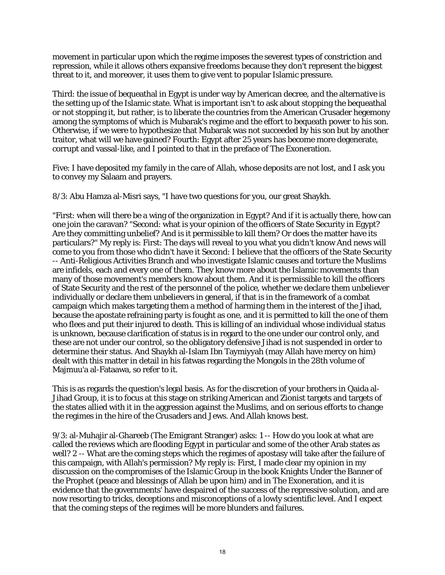movement in particular upon which the regime imposes the severest types of constriction and repression, while it allows others expansive freedoms because they don't represent the biggest threat to it, and moreover, it uses them to give vent to popular Islamic pressure.

Third: the issue of bequeathal in Egypt is under way by American decree, and the alternative is the setting up of the Islamic state. What is important isn't to ask about stopping the bequeathal or not stopping it, but rather, is to liberate the countries from the American Crusader hegemony among the symptoms of which is Mubarak's regime and the effort to bequeath power to his son. Otherwise, if we were to hypothesize that Mubarak was not succeeded by his son but by another traitor, what will we have gained? Fourth: Egypt after 25 years has become more degenerate, corrupt and vassal-like, and I pointed to that in the preface of The Exoneration.

Five: I have deposited my family in the care of Allah, whose deposits are not lost, and I ask you to convey my Salaam and prayers.

8/3: Abu Hamza al-Misri says, "I have two questions for you, our great Shaykh.

"First: when will there be a wing of the organization in Egypt? And if it is actually there, how can one join the caravan? "Second: what is your opinion of the officers of State Security in Egypt? Are they committing unbelief? And is it permissible to kill them? Or does the matter have its particulars?" My reply is: First: The days will reveal to you what you didn't know And news will come to you from those who didn't have it Second: I believe that the officers of the State Security -- Anti-Religious Activities Branch and who investigate Islamic causes and torture the Muslims are infidels, each and every one of them. They know more about the Islamic movements than many of those movement's members know about them. And it is permissible to kill the officers of State Security and the rest of the personnel of the police, whether we declare them unbeliever individually or declare them unbelievers in general, if that is in the framework of a combat campaign which makes targeting them a method of harming them in the interest of the Jihad, because the apostate refraining party is fought as one, and it is permitted to kill the one of them who flees and put their injured to death. This is killing of an individual whose individual status is unknown, because clarification of status is in regard to the one under our control only, and these are not under our control, so the obligatory defensive Jihad is not suspended in order to determine their status. And Shaykh al-Islam Ibn Taymiyyah (may Allah have mercy on him) dealt with this matter in detail in his fatwas regarding the Mongols in the 28th volume of Majmuu'a al-Fataawa, so refer to it.

This is as regards the question's legal basis. As for the discretion of your brothers in Qaida al-Jihad Group, it is to focus at this stage on striking American and Zionist targets and targets of the states allied with it in the aggression against the Muslims, and on serious efforts to change the regimes in the hire of the Crusaders and Jews. And Allah knows best.

9/3: al-Muhajir al-Ghareeb (The Emigrant Stranger) asks: 1 -- How do you look at what are called the reviews which are flooding Egypt in particular and some of the other Arab states as well? 2 -- What are the coming steps which the regimes of apostasy will take after the failure of this campaign, with Allah's permission? My reply is: First, I made clear my opinion in my discussion on the compromises of the Islamic Group in the book Knights Under the Banner of the Prophet (peace and blessings of Allah be upon him) and in The Exoneration, and it is evidence that the governments' have despaired of the success of the repressive solution, and are now resorting to tricks, deceptions and misconceptions of a lowly scientific level. And I expect that the coming steps of the regimes will be more blunders and failures.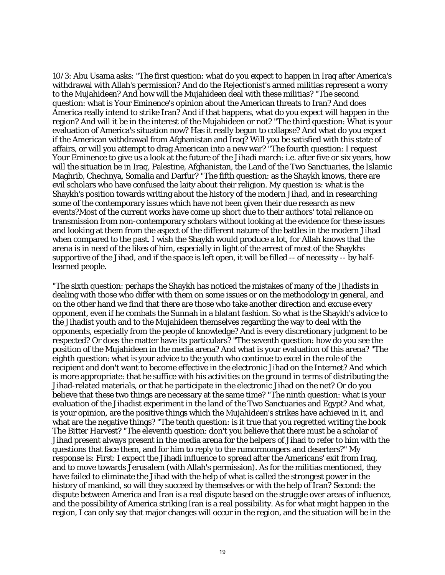10/3: Abu Usama asks: "The first question: what do you expect to happen in Iraq after America's withdrawal with Allah's permission? And do the Rejectionist's armed militias represent a worry to the Mujahideen? And how will the Mujahideen deal with these militias? "The second question: what is Your Eminence's opinion about the American threats to Iran? And does America really intend to strike Iran? And if that happens, what do you expect will happen in the region? And will it be in the interest of the Mujahideen or not? "The third question: What is your evaluation of America's situation now? Has it really begun to collapse? And what do you expect if the American withdrawal from Afghanistan and Iraq? Will you be satisfied with this state of affairs, or will you attempt to drag American into a new war? "The fourth question: I request Your Eminence to give us a look at the future of the Jihadi march: i.e. after five or six years, how will the situation be in Iraq, Palestine, Afghanistan, the Land of the Two Sanctuaries, the Islamic Maghrib, Chechnya, Somalia and Darfur? "The fifth question: as the Shaykh knows, there are evil scholars who have confused the laity about their religion. My question is: what is the Shaykh's position towards writing about the history of the modern Jihad, and in researching some of the contemporary issues which have not been given their due research as new events?Most of the current works have come up short due to their authors' total reliance on transmission from non-contemporary scholars without looking at the evidence for these issues and looking at them from the aspect of the different nature of the battles in the modern Jihad when compared to the past. I wish the Shaykh would produce a lot, for Allah knows that the arena is in need of the likes of him, especially in light of the arrest of most of the Shaykhs supportive of the Jihad, and if the space is left open, it will be filled -- of necessity -- by halflearned people.

"The sixth question: perhaps the Shaykh has noticed the mistakes of many of the Jihadists in dealing with those who differ with them on some issues or on the methodology in general, and on the other hand we find that there are those who take another direction and excuse every opponent, even if he combats the Sunnah in a blatant fashion. So what is the Shaykh's advice to the Jihadist youth and to the Mujahideen themselves regarding the way to deal with the opponents, especially from the people of knowledge? And is every discretionary judgment to be respected? Or does the matter have its particulars? "The seventh question: how do you see the position of the Mujahideen in the media arena? And what is your evaluation of this arena? "The eighth question: what is your advice to the youth who continue to excel in the role of the recipient and don't want to become effective in the electronic Jihad on the Internet? And which is more appropriate: that he suffice with his activities on the ground in terms of distributing the Jihad-related materials, or that he participate in the electronic Jihad on the net? Or do you believe that these two things are necessary at the same time? "The ninth question: what is your evaluation of the Jihadist experiment in the land of the Two Sanctuaries and Egypt? And what, is your opinion, are the positive things which the Mujahideen's strikes have achieved in it, and what are the negative things? "The tenth question: is it true that you regretted writing the book The Bitter Harvest? "The eleventh question: don't you believe that there must be a scholar of Jihad present always present in the media arena for the helpers of Jihad to refer to him with the questions that face them, and for him to reply to the rumormongers and deserters?" My response is: First: I expect the Jihadi influence to spread after the Americans' exit from Iraq, and to move towards Jerusalem (with Allah's permission). As for the militias mentioned, they have failed to eliminate the Jihad with the help of what is called the strongest power in the history of mankind, so will they succeed by themselves or with the help of Iran? Second: the dispute between America and Iran is a real dispute based on the struggle over areas of influence, and the possibility of America striking Iran is a real possibility. As for what might happen in the region, I can only say that major changes will occur in the region, and the situation will be in the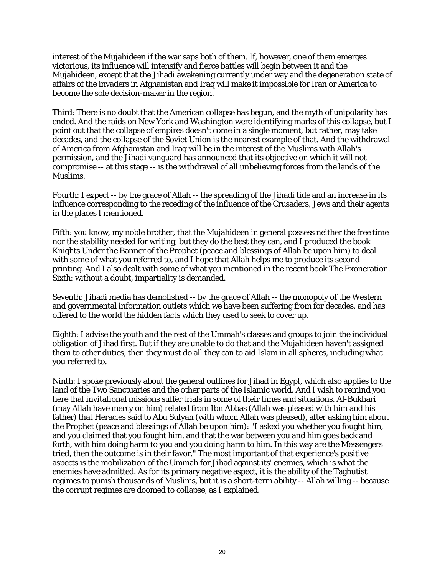interest of the Mujahideen if the war saps both of them. If, however, one of them emerges victorious, its influence will intensify and fierce battles will begin between it and the Mujahideen, except that the Jihadi awakening currently under way and the degeneration state of affairs of the invaders in Afghanistan and Iraq will make it impossible for Iran or America to become the sole decision-maker in the region.

Third: There is no doubt that the American collapse has begun, and the myth of unipolarity has ended. And the raids on New York and Washington were identifying marks of this collapse, but I point out that the collapse of empires doesn't come in a single moment, but rather, may take decades, and the collapse of the Soviet Union is the nearest example of that. And the withdrawal of America from Afghanistan and Iraq will be in the interest of the Muslims with Allah's permission, and the Jihadi vanguard has announced that its objective on which it will not compromise -- at this stage -- is the withdrawal of all unbelieving forces from the lands of the Muslims.

Fourth: I expect -- by the grace of Allah -- the spreading of the Jihadi tide and an increase in its influence corresponding to the receding of the influence of the Crusaders, Jews and their agents in the places I mentioned.

Fifth: you know, my noble brother, that the Mujahideen in general possess neither the free time nor the stability needed for writing, but they do the best they can, and I produced the book Knights Under the Banner of the Prophet (peace and blessings of Allah be upon him) to deal with some of what you referred to, and I hope that Allah helps me to produce its second printing. And I also dealt with some of what you mentioned in the recent book The Exoneration. Sixth: without a doubt, impartiality is demanded.

Seventh: Jihadi media has demolished -- by the grace of Allah -- the monopoly of the Western and governmental information outlets which we have been suffering from for decades, and has offered to the world the hidden facts which they used to seek to cover up.

Eighth: I advise the youth and the rest of the Ummah's classes and groups to join the individual obligation of Jihad first. But if they are unable to do that and the Mujahideen haven't assigned them to other duties, then they must do all they can to aid Islam in all spheres, including what you referred to.

Ninth: I spoke previously about the general outlines for Jihad in Egypt, which also applies to the land of the Two Sanctuaries and the other parts of the Islamic world. And I wish to remind you here that invitational missions suffer trials in some of their times and situations. Al-Bukhari (may Allah have mercy on him) related from Ibn Abbas (Allah was pleased with him and his father) that Heracles said to Abu Sufyan (with whom Allah was pleased), after asking him about the Prophet (peace and blessings of Allah be upon him): "I asked you whether you fought him, and you claimed that you fought him, and that the war between you and him goes back and forth, with him doing harm to you and you doing harm to him. In this way are the Messengers tried, then the outcome is in their favor." The most important of that experience's positive aspects is the mobilization of the Ummah for Jihad against its' enemies, which is what the enemies have admitted. As for its primary negative aspect, it is the ability of the Taghutist regimes to punish thousands of Muslims, but it is a short-term ability -- Allah willing -- because the corrupt regimes are doomed to collapse, as I explained.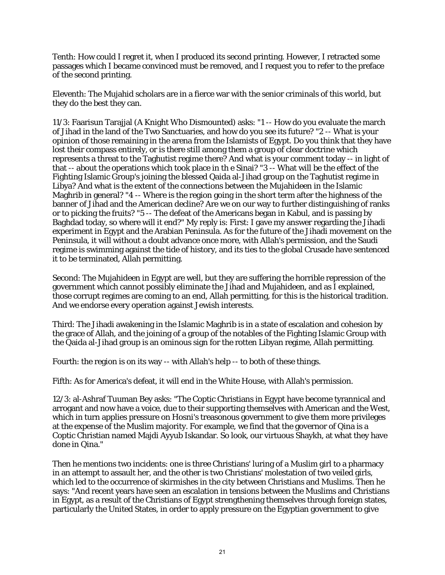Tenth: How could I regret it, when I produced its second printing. However, I retracted some passages which I became convinced must be removed, and I request you to refer to the preface of the second printing.

Eleventh: The Mujahid scholars are in a fierce war with the senior criminals of this world, but they do the best they can.

11/3: Faarisun Tarajjal (A Knight Who Dismounted) asks: "1 -- How do you evaluate the march of Jihad in the land of the Two Sanctuaries, and how do you see its future? "2 -- What is your opinion of those remaining in the arena from the Islamists of Egypt. Do you think that they have lost their compass entirely, or is there still among them a group of clear doctrine which represents a threat to the Taghutist regime there? And what is your comment today -- in light of that -- about the operations which took place in th e Sinai? "3 -- What will be the effect of the Fighting Islamic Group's joining the blessed Qaida al-Jihad group on the Taghutist regime in Libya? And what is the extent of the connections between the Mujahideen in the Islamic Maghrib in general? "4 -- Where is the region going in the short term after the highness of the banner of Jihad and the American decline? Are we on our way to further distinguishing of ranks or to picking the fruits? "5 -- The defeat of the Americans began in Kabul, and is passing by Baghdad today, so where will it end?" My reply is: First: I gave my answer regarding the Jihadi experiment in Egypt and the Arabian Peninsula. As for the future of the Jihadi movement on the Peninsula, it will without a doubt advance once more, with Allah's permission, and the Saudi regime is swimming against the tide of history, and its ties to the global Crusade have sentenced it to be terminated, Allah permitting.

Second: The Mujahideen in Egypt are well, but they are suffering the horrible repression of the government which cannot possibly eliminate the Jihad and Mujahideen, and as I explained, those corrupt regimes are coming to an end, Allah permitting, for this is the historical tradition. And we endorse every operation against Jewish interests.

Third: The Jihadi awakening in the Islamic Maghrib is in a state of escalation and cohesion by the grace of Allah, and the joining of a group of the notables of the Fighting Islamic Group with the Qaida al-Jihad group is an ominous sign for the rotten Libyan regime, Allah permitting.

Fourth: the region is on its way -- with Allah's help -- to both of these things.

Fifth: As for America's defeat, it will end in the White House, with Allah's permission.

12/3: al-Ashraf Tuuman Bey asks: "The Coptic Christians in Egypt have become tyrannical and arrogant and now have a voice, due to their supporting themselves with American and the West, which in turn applies pressure on Hosni's treasonous government to give them more privileges at the expense of the Muslim majority. For example, we find that the governor of Qina is a Coptic Christian named Majdi Ayyub Iskandar. So look, our virtuous Shaykh, at what they have done in Qina."

Then he mentions two incidents: one is three Christians' luring of a Muslim girl to a pharmacy in an attempt to assault her, and the other is two Christians' molestation of two veiled girls, which led to the occurrence of skirmishes in the city between Christians and Muslims. Then he says: "And recent years have seen an escalation in tensions between the Muslims and Christians in Egypt, as a result of the Christians of Egypt strengthening themselves through foreign states, particularly the United States, in order to apply pressure on the Egyptian government to give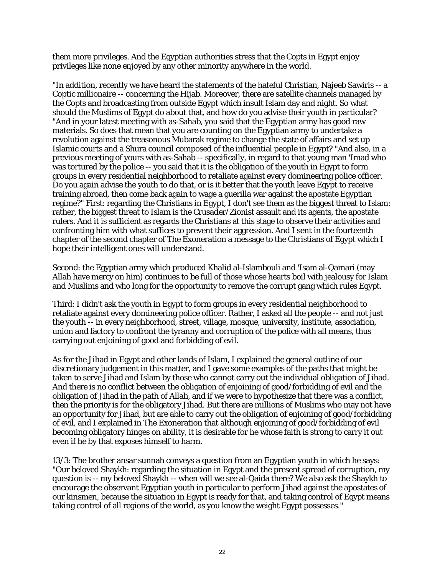them more privileges. And the Egyptian authorities stress that the Copts in Egypt enjoy privileges like none enjoyed by any other minority anywhere in the world.

"In addition, recently we have heard the statements of the hateful Christian, Najeeb Sawiris -- a Coptic millionaire -- concerning the Hijab. Moreover, there are satellite channels managed by the Copts and broadcasting from outside Egypt which insult Islam day and night. So what should the Muslims of Egypt do about that, and how do you advise their youth in particular? "And in your latest meeting with as-Sahab, you said that the Egyptian army has good raw materials. So does that mean that you are counting on the Egyptian army to undertake a revolution against the treasonous Mubarak regime to change the state of affairs and set up Islamic courts and a Shura council composed of the influential people in Egypt? "And also, in a previous meeting of yours with as-Sahab -- specifically, in regard to that young man 'Imad who was tortured by the police -- you said that it is the obligation of the youth in Egypt to form groups in every residential neighborhood to retaliate against every domineering police officer. Do you again advise the youth to do that, or is it better that the youth leave Egypt to receive training abroad, then come back again to wage a guerilla war against the apostate Egyptian regime?" First: regarding the Christians in Egypt, I don't see them as the biggest threat to Islam: rather, the biggest threat to Islam is the Crusader/Zionist assault and its agents, the apostate rulers. And it is sufficient as regards the Christians at this stage to observe their activities and confronting him with what suffices to prevent their aggression. And I sent in the fourteenth chapter of the second chapter of The Exoneration a message to the Christians of Egypt which I hope their intelligent ones will understand.

Second: the Egyptian army which produced Khalid al-Islambouli and 'Isam al-Qamari (may Allah have mercy on him) continues to be full of those whose hearts boil with jealousy for Islam and Muslims and who long for the opportunity to remove the corrupt gang which rules Egypt.

Third: I didn't ask the youth in Egypt to form groups in every residential neighborhood to retaliate against every domineering police officer. Rather, I asked all the people -- and not just the youth -- in every neighborhood, street, village, mosque, university, institute, association, union and factory to confront the tyranny and corruption of the police with all means, thus carrying out enjoining of good and forbidding of evil.

As for the Jihad in Egypt and other lands of Islam, I explained the general outline of our discretionary judgement in this matter, and I gave some examples of the paths that might be taken to serve Jihad and Islam by those who cannot carry out the individual obligation of Jihad. And there is no conflict between the obligation of enjoining of good/forbidding of evil and the obligation of Jihad in the path of Allah, and if we were to hypothesize that there was a conflict, then the priority is for the obligatory Jihad. But there are millions of Muslims who may not have an opportunity for Jihad, but are able to carry out the obligation of enjoining of good/forbidding of evil, and I explained in The Exoneration that although enjoining of good/forbidding of evil becoming obligatory hinges on ability, it is desirable for he whose faith is strong to carry it out even if he by that exposes himself to harm.

13/3: The brother ansar sunnah conveys a question from an Egyptian youth in which he says: "Our beloved Shaykh: regarding the situation in Egypt and the present spread of corruption, my question is -- my beloved Shaykh -- when will we see al-Qaida there? We also ask the Shaykh to encourage the observant Egyptian youth in particular to perform Jihad against the apostates of our kinsmen, because the situation in Egypt is ready for that, and taking control of Egypt means taking control of all regions of the world, as you know the weight Egypt possesses."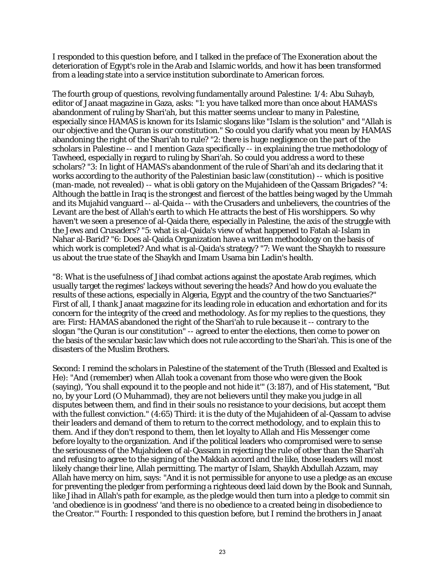I responded to this question before, and I talked in the preface of The Exoneration about the deterioration of Egypt's role in the Arab and Islamic worlds, and how it has been transformed from a leading state into a service institution subordinate to American forces.

The fourth group of questions, revolving fundamentally around Palestine: 1/4: Abu Suhayb, editor of Janaat magazine in Gaza, asks: "1: you have talked more than once about HAMAS's abandonment of ruling by Shari'ah, but this matter seems unclear to many in Palestine, especially since HAMAS is known for its Islamic slogans like "Islam is the solution" and "Allah is our objective and the Quran is our constitution." So could you clarify what you mean by HAMAS abandoning the right of the Shari'ah to rule? "2: there is huge negligence on the part of the scholars in Palestine -- and I mention Gaza specifically -- in explaining the true methodology of Tawheed, especially in regard to ruling by Shari'ah. So could you address a word to these scholars? "3: In light of HAMAS's abandonment of the rule of Shari'ah and its declaring that it works according to the authority of the Palestinian basic law (constitution) -- which is positive (man-made, not revealed) -- what is obli gatory on the Mujahideen of the Qassam Brigades? "4: Although the battle in Iraq is the strongest and fiercest of the battles being waged by the Ummah and its Mujahid vanguard -- al-Qaida -- with the Crusaders and unbelievers, the countries of the Levant are the best of Allah's earth to which He attracts the best of His worshippers. So why haven't we seen a presence of al-Qaida there, especially in Palestine, the axis of the struggle with the Jews and Crusaders? "5: what is al-Qaida's view of what happened to Fatah al-Islam in Nahar al-Barid? "6: Does al-Qaida Organization have a written methodology on the basis of which work is completed? And what is al-Qaida's strategy? "7: We want the Shaykh to reassure us about the true state of the Shaykh and Imam Usama bin Ladin's health.

"8: What is the usefulness of Jihad combat actions against the apostate Arab regimes, which usually target the regimes' lackeys without severing the heads? And how do you evaluate the results of these actions, especially in Algeria, Egypt and the country of the two Sanctuaries?" First of all, I thank Janaat magazine for its leading role in education and exhortation and for its concern for the integrity of the creed and methodology. As for my replies to the questions, they are: First: HAMAS abandoned the right of the Shari'ah to rule because it -- contrary to the slogan "the Quran is our constitution" -- agreed to enter the elections, then come to power on the basis of the secular basic law which does not rule according to the Shari'ah. This is one of the disasters of the Muslim Brothers.

Second: I remind the scholars in Palestine of the statement of the Truth (Blessed and Exalted is He): "And (remember) when Allah took a covenant from those who were given the Book (saying), 'You shall expound it to the people and not hide it'" (3:187), and of His statement, "But no, by your Lord (O Muhammad), they are not believers until they make you judge in all disputes between them, and find in their souls no resistance to your decisions, but accept them with the fullest conviction." (4:65) Third: it is the duty of the Mujahideen of al-Qassam to advise their leaders and demand of them to return to the correct methodology, and to explain this to them. And if they don't respond to them, then let loyalty to Allah and His Messenger come before loyalty to the organization. And if the political leaders who compromised were to sense the seriousness of the Mujahideen of al-Qassam in rejecting the rule of other than the Shari'ah and refusing to agree to the signing of the Makkah accord and the like, those leaders will most likely change their line, Allah permitting. The martyr of Islam, Shaykh Abdullah Azzam, may Allah have mercy on him, says: "And it is not permissible for anyone to use a pledge as an excuse for preventing the pledger from performing a righteous deed laid down by the Book and Sunnah, like Jihad in Allah's path for example, as the pledge would then turn into a pledge to commit sin 'and obedience is in goodness' 'and there is no obedience to a created being in disobedience to the Creator.'" Fourth: I responded to this question before, but I remind the brothers in Janaat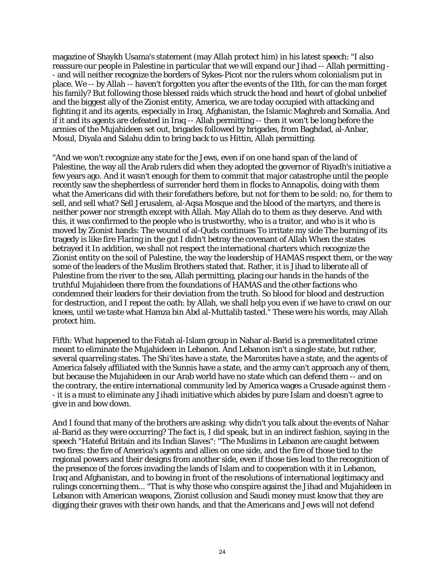magazine of Shaykh Usama's statement (may Allah protect him) in his latest speech: "I also reassure our people in Palestine in particular that we will expand our Jihad -- Allah permitting - - and will neither recognize the borders of Sykes-Picot nor the rulers whom colonialism put in place. We -- by Allah -- haven't forgotten you after the events of the 11th, for can the man forget his family? But following those blessed raids which struck the head and heart of global unbelief and the biggest ally of the Zionist entity, America, we are today occupied with attacking and fighting it and its agents, especially in Iraq, Afghanistan, the Islamic Maghreb and Somalia. And if it and its agents are defeated in Iraq -- Allah permitting -- then it won't be long before the armies of the Mujahideen set out, brigades followed by brigades, from Baghdad, al-Anbar, Mosul, Diyala and Salahu ddin to bring back to us Hittin, Allah permitting.

"And we won't recognize any state for the Jews, even if on one hand span of the land of Palestine, the way all the Arab rulers did when they adopted the governor of Riyadh's initiative a few years ago. And it wasn't enough for them to commit that major catastrophe until the people recently saw the shepherdess of surrender herd them in flocks to Annapolis, doing with them what the Americans did with their forefathers before, but not for them to be sold: no, for them to sell, and sell what? Sell Jerusalem, al-Aqsa Mosque and the blood of the martyrs, and there is neither power nor strength except with Allah. May Allah do to them as they deserve. And with this, it was confirmed to the people who is trustworthy, who is a traitor, and who is it who is moved by Zionist hands: The wound of al-Quds continues To irritate my side The burning of its tragedy is like fire Flaring in the gut I didn't betray the covenant of Allah When the states betrayed it In addition, we shall not respect the international charters which recognize the Zionist entity on the soil of Palestine, the way the leadership of HAMAS respect them, or the way some of the leaders of the Muslim Brothers stated that. Rather, it is Jihad to liberate all of Palestine from the river to the sea, Allah permitting, placing our hands in the hands of the truthful Mujahideen there from the foundations of HAMAS and the other factions who condemned their leaders for their deviation from the truth. So blood for blood and destruction for destruction, and I repeat the oath: by Allah, we shall help you even if we have to crawl on our knees, until we taste what Hamza bin Abd al-Muttalib tasted." These were his words, may Allah protect him.

Fifth: What happened to the Fatah al-Islam group in Nahar al-Barid is a premeditated crime meant to eliminate the Mujahideen in Lebanon. And Lebanon isn't a single state, but rather, several quarreling states. The Shi'ites have a state, the Maronites have a state, and the agents of America falsely affiliated with the Sunnis have a state, and the army can't approach any of them, but because the Mujahideen in our Arab world have no state which can defend them -- and on the contrary, the entire international community led by America wages a Crusade against them - - it is a must to eliminate any Jihadi initiative which abides by pure Islam and doesn't agree to give in and bow down.

And I found that many of the brothers are asking: why didn't you talk about the events of Nahar al-Barid as they were occurring? The fact is, I did speak, but in an indirect fashion, saying in the speech "Hateful Britain and its Indian Slaves": "The Muslims in Lebanon are caught between two fires: the fire of America's agents and allies on one side, and the fire of those tied to the regional powers and their designs from another side, even if those ties lead to the recognition of the presence of the forces invading the lands of Islam and to cooperation with it in Lebanon, Iraq and Afghanistan, and to bowing in front of the resolutions of international legitimacy and rulings concerning them... "That is why those who conspire against the Jihad and Mujahideen in Lebanon with American weapons, Zionist collusion and Saudi money must know that they are digging their graves with their own hands, and that the Americans and Jews will not defend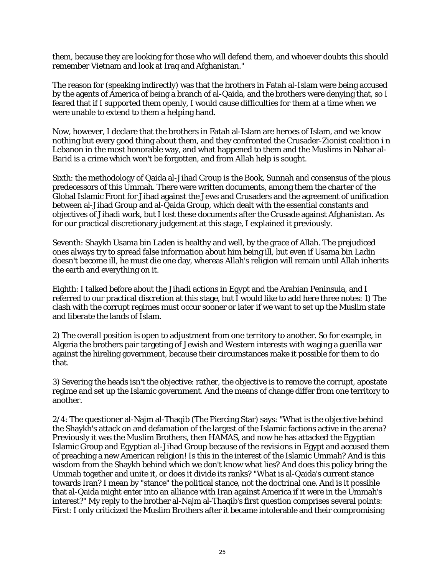them, because they are looking for those who will defend them, and whoever doubts this should remember Vietnam and look at Iraq and Afghanistan."

The reason for (speaking indirectly) was that the brothers in Fatah al-Islam were being accused by the agents of America of being a branch of al-Qaida, and the brothers were denying that, so I feared that if I supported them openly, I would cause difficulties for them at a time when we were unable to extend to them a helping hand.

Now, however, I declare that the brothers in Fatah al-Islam are heroes of Islam, and we know nothing but every good thing about them, and they confronted the Crusader-Zionist coalition i n Lebanon in the most honorable way, and what happened to them and the Muslims in Nahar al-Barid is a crime which won't be forgotten, and from Allah help is sought.

Sixth: the methodology of Qaida al-Jihad Group is the Book, Sunnah and consensus of the pious predecessors of this Ummah. There were written documents, among them the charter of the Global Islamic Front for Jihad against the Jews and Crusaders and the agreement of unification between al-Jihad Group and al-Qaida Group, which dealt with the essential constants and objectives of Jihadi work, but I lost these documents after the Crusade against Afghanistan. As for our practical discretionary judgement at this stage, I explained it previously.

Seventh: Shaykh Usama bin Laden is healthy and well, by the grace of Allah. The prejudiced ones always try to spread false information about him being ill, but even if Usama bin Ladin doesn't become ill, he must die one day, whereas Allah's religion will remain until Allah inherits the earth and everything on it.

Eighth: I talked before about the Jihadi actions in Egypt and the Arabian Peninsula, and I referred to our practical discretion at this stage, but I would like to add here three notes: 1) The clash with the corrupt regimes must occur sooner or later if we want to set up the Muslim state and liberate the lands of Islam.

2) The overall position is open to adjustment from one territory to another. So for example, in Algeria the brothers pair targeting of Jewish and Western interests with waging a guerilla war against the hireling government, because their circumstances make it possible for them to do that.

3) Severing the heads isn't the objective: rather, the objective is to remove the corrupt, apostate regime and set up the Islamic government. And the means of change differ from one territory to another.

2/4: The questioner al-Najm al-Thaqib (The Piercing Star) says: "What is the objective behind the Shaykh's attack on and defamation of the largest of the Islamic factions active in the arena? Previously it was the Muslim Brothers, then HAMAS, and now he has attacked the Egyptian Islamic Group and Egyptian al-Jihad Group because of the revisions in Egypt and accused them of preaching a new American religion! Is this in the interest of the Islamic Ummah? And is this wisdom from the Shaykh behind which we don't know what lies? And does this policy bring the Ummah together and unite it, or does it divide its ranks? "What is al-Qaida's current stance towards Iran? I mean by "stance" the political stance, not the doctrinal one. And is it possible that al-Qaida might enter into an alliance with Iran against America if it were in the Ummah's interest?" My reply to the brother al-Najm al-Thaqib's first question comprises several points: First: I only criticized the Muslim Brothers after it became intolerable and their compromising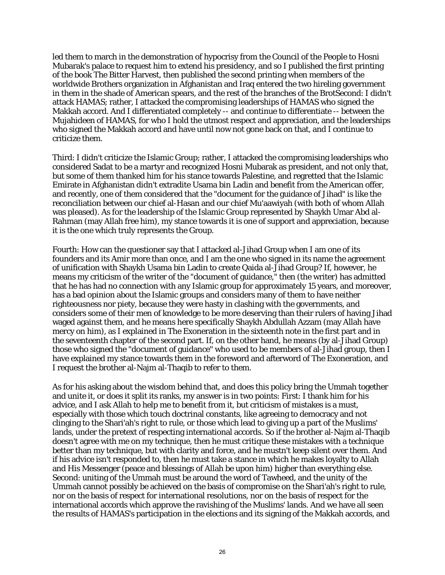led them to march in the demonstration of hypocrisy from the Council of the People to Hosni Mubarak's palace to request him to extend his presidency, and so I published the first printing of the book The Bitter Harvest, then published the second printing when members of the worldwide Brothers organization in Afghanistan and Iraq entered the two hireling government in them in the shade of American spears, and the rest of the branches of the BrotSecond: I didn't attack HAMAS; rather, I attacked the compromising leaderships of HAMAS who signed the Makkah accord. And I differentiated completely -- and continue to differentiate -- between the Mujahideen of HAMAS, for who I hold the utmost respect and appreciation, and the leaderships who signed the Makkah accord and have until now not gone back on that, and I continue to criticize them.

Third: I didn't criticize the Islamic Group; rather, I attacked the compromising leaderships who considered Sadat to be a martyr and recognized Hosni Mubarak as president, and not only that, but some of them thanked him for his stance towards Palestine, and regretted that the Islamic Emirate in Afghanistan didn't extradite Usama bin Ladin and benefit from the American offer, and recently, one of them considered that the "document for the guidance of Jihad" is like the reconciliation between our chief al-Hasan and our chief Mu'aawiyah (with both of whom Allah was pleased). As for the leadership of the Islamic Group represented by Shaykh Umar Abd al-Rahman (may Allah free him), my stance towards it is one of support and appreciation, because it is the one which truly represents the Group.

Fourth: How can the questioner say that I attacked al-Jihad Group when I am one of its founders and its Amir more than once, and I am the one who signed in its name the agreement of unification with Shaykh Usama bin Ladin to create Qaida al-Jihad Group? If, however, he means my criticism of the writer of the "document of guidance," then (the writer) has admitted that he has had no connection with any Islamic group for approximately 15 years, and moreover, has a bad opinion about the Islamic groups and considers many of them to have neither righteousness nor piety, because they were hasty in clashing with the governments, and considers some of their men of knowledge to be more deserving than their rulers of having Jihad waged against them, and he means here specifically Shaykh Abdullah Azzam (may Allah have mercy on him), as I explained in The Exoneration in the sixteenth note in the first part and in the seventeenth chapter of the second part. If, on the other hand, he means (by al-Jihad Group) those who signed the "document of guidance" who used to be members of al-Jihad group, then I have explained my stance towards them in the foreword and afterword of The Exoneration, and I request the brother al-Najm al-Thaqib to refer to them.

As for his asking about the wisdom behind that, and does this policy bring the Ummah together and unite it, or does it split its ranks, my answer is in two points: First: I thank him for his advice, and I ask Allah to help me to benefit from it, but criticism of mistakes is a must, especially with those which touch doctrinal constants, like agreeing to democracy and not clinging to the Shari'ah's right to rule, or those which lead to giving up a part of the Muslims' lands, under the pretext of respecting international accords. So if the brother al-Najm al-Thaqib doesn't agree with me on my technique, then he must critique these mistakes with a technique better than my technique, but with clarity and force, and he mustn't keep silent over them. And if his advice isn't responded to, then he must take a stance in which he makes loyalty to Allah and His Messenger (peace and blessings of Allah be upon him) higher than everything else. Second: uniting of the Ummah must be around the word of Tawheed, and the unity of the Ummah cannot possibly be achieved on the basis of compromise on the Shari'ah's right to rule, nor on the basis of respect for international resolutions, nor on the basis of respect for the international accords which approve the ravishing of the Muslims' lands. And we have all seen the results of HAMAS's participation in the elections and its signing of the Makkah accords, and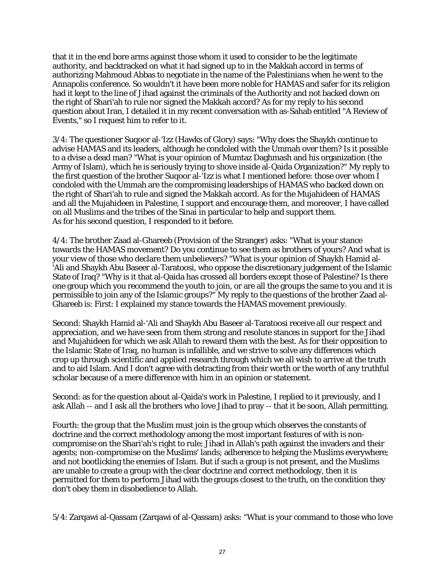that it in the end bore arms against those whom it used to consider to be the legitimate authority, and backtracked on what it had signed up to in the Makkah accord in terms of authorizing Mahmoud Abbas to negotiate in the name of the Palestinians when he went to the Annapolis conference. So wouldn't it have been more noble for HAMAS and safer for its religion had it kept to the line of Jihad against the criminals of the Authority and not backed down on the right of Shari'ah to rule nor signed the Makkah accord? As for my reply to his second question about Iran, I detailed it in my recent conversation with as-Sahab entitled "A Review of Events," so I request him to refer to it.

3/4: The questioner Suqoor al-'Izz (Hawks of Glory) says: "Why does the Shaykh continue to advise HAMAS and its leaders, although he condoled with the Ummah over them? Is it possible to a dvise a dead man? "What is your opinion of Mumtaz Daghmash and his organization (the Army of Islam), which he is seriously trying to shove inside al-Qaida Organization?" My reply to the first question of the brother Suqoor al-'Izz is what I mentioned before: those over whom I condoled with the Ummah are the compromising leaderships of HAMAS who backed down on the right of Shari'ah to rule and signed the Makkah accord. As for the Mujahideen of HAMAS and all the Mujahideen in Palestine, I support and encourage them, and moreover, I have called on all Muslims and the tribes of the Sinai in particular to help and support them. As for his second question, I responded to it before.

4/4: The brother Zaad al-Ghareeb (Provision of the Stranger) asks: "What is your stance towards the HAMAS movement? Do you continue to see them as brothers of yours? And what is your view of those who declare them unbelievers? "What is your opinion of Shaykh Hamid al- 'Ali and Shaykh Abu Baseer al-Taratoosi, who oppose the discretionary judgement of the Islamic State of Iraq? "Why is it that al-Qaida has crossed all borders except those of Palestine? Is there one group which you recommend the youth to join, or are all the groups the same to you and it is permissible to join any of the Islamic groups?" My reply to the questions of the brother Zaad al-Ghareeb is: First: I explained my stance towards the HAMAS movement previously.

Second: Shaykh Hamid al-'Ali and Shaykh Abu Baseer al-Taratoosi receive all our respect and appreciation, and we have seen from them strong and resolute stances in support for the Jihad and Mujahideen for which we ask Allah to reward them with the best. As for their opposition to the Islamic State of Iraq, no human is infallible, and we strive to solve any differences which crop up through scientific and applied research through which we all wish to arrive at the truth and to aid Islam. And I don't agree with detracting from their worth or the worth of any truthful scholar because of a mere difference with him in an opinion or statement.

Second: as for the question about al-Qaida's work in Palestine, I replied to it previously, and I ask Allah -- and I ask all the brothers who love Jihad to pray -- that it be soon, Allah permitting.

Fourth: the group that the Muslim must join is the group which observes the constants of doctrine and the correct methodology among the most important features of with is noncompromise on the Shari'ah's right to rule; Jihad in Allah's path against the invaders and their agents; non-compromise on the Muslims' lands; adherence to helping the Muslims everywhere; and not bootlicking the enemies of Islam. But if such a group is not present, and the Muslims are unable to create a group with the clear doctrine and correct methodology, then it is permitted for them to perform Jihad with the groups closest to the truth, on the condition they don't obey them in disobedience to Allah.

5/4: Zarqawi al-Qassam (Zarqawi of al-Qassam) asks: "What is your command to those who love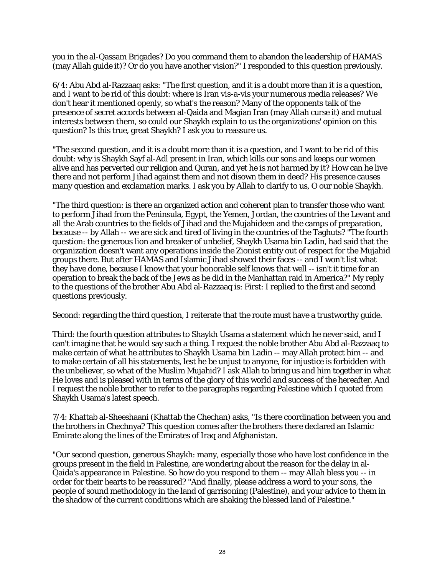you in the al-Qassam Brigades? Do you command them to abandon the leadership of HAMAS (may Allah guide it)? Or do you have another vision?" I responded to this question previously.

6/4: Abu Abd al-Razzaaq asks: "The first question, and it is a doubt more than it is a question, and I want to be rid of this doubt: where is Iran vis-a-vis your numerous media releases? We don't hear it mentioned openly, so what's the reason? Many of the opponents talk of the presence of secret accords between al-Qaida and Magian Iran (may Allah curse it) and mutual interests between them, so could our Shaykh explain to us the organizations' opinion on this question? Is this true, great Shaykh? I ask you to reassure us.

"The second question, and it is a doubt more than it is a question, and I want to be rid of this doubt: why is Shaykh Sayf al-Adl present in Iran, which kills our sons and keeps our women alive and has perverted our religion and Quran, and yet he is not harmed by it? How can he live there and not perform Jihad against them and not disown them in deed? His presence causes many question and exclamation marks. I ask you by Allah to clarify to us, O our noble Shaykh.

"The third question: is there an organized action and coherent plan to transfer those who want to perform Jihad from the Peninsula, Egypt, the Yemen, Jordan, the countries of the Levant and all the Arab countries to the fields of Jihad and the Mujahideen and the camps of preparation, because -- by Allah -- we are sick and tired of living in the countries of the Taghuts? "The fourth question: the generous lion and breaker of unbelief, Shaykh Usama bin Ladin, had said that the organization doesn't want any operations inside the Zionist entity out of respect for the Mujahid groups there. But after HAMAS and Islamic Jihad showed their faces -- and I won't list what they have done, because I know that your honorable self knows that well -- isn't it time for an operation to break the back of the Jews as he did in the Manhattan raid in America?" My reply to the questions of the brother Abu Abd al-Razzaaq is: First: I replied to the first and second questions previously.

Second: regarding the third question, I reiterate that the route must have a trustworthy guide.

Third: the fourth question attributes to Shaykh Usama a statement which he never said, and I can't imagine that he would say such a thing. I request the noble brother Abu Abd al-Razzaaq to make certain of what he attributes to Shaykh Usama bin Ladin -- may Allah protect him -- and to make certain of all his statements, lest he be unjust to anyone, for injustice is forbidden with the unbeliever, so what of the Muslim Mujahid? I ask Allah to bring us and him together in what He loves and is pleased with in terms of the glory of this world and success of the hereafter. And I request the noble brother to refer to the paragraphs regarding Palestine which I quoted from Shaykh Usama's latest speech.

7/4: Khattab al-Sheeshaani (Khattab the Chechan) asks, "Is there coordination between you and the brothers in Chechnya? This question comes after the brothers there declared an Islamic Emirate along the lines of the Emirates of Iraq and Afghanistan.

"Our second question, generous Shaykh: many, especially those who have lost confidence in the groups present in the field in Palestine, are wondering about the reason for the delay in al-Qaida's appearance in Palestine. So how do you respond to them -- may Allah bless you -- in order for their hearts to be reassured? "And finally, please address a word to your sons, the people of sound methodology in the land of garrisoning (Palestine), and your advice to them in the shadow of the current conditions which are shaking the blessed land of Palestine."